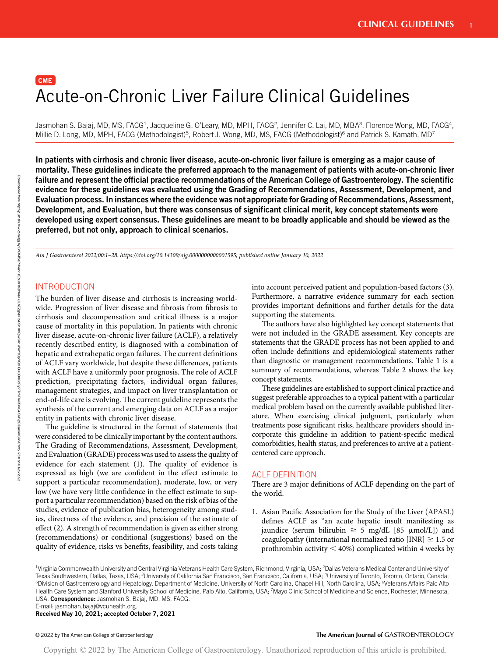# $[$  CME  $]$ Acute-on-Chronic Liver Failure Clinical Guidelines

Jasmohan S. Bajaj, MD, MS, FACG<sup>1</sup>, Jacqueline G. O'Leary, MD, MPH, FACG<sup>2</sup>, Jennifer C. Lai, MD, MBA<sup>3</sup>, Florence Wong, MD, FACG<sup>4</sup>, Millie D. Long, MD, MPH, FACG (Methodologist)<sup>5</sup>, Robert J. Wong, MD, MS, FACG (Methodologist)<sup>6</sup> and Patrick S. Kamath, MD<sup>7</sup>

In patients with cirrhosis and chronic liver disease, acute-on-chronic liver failure is emerging as a major cause of mortality. These guidelines indicate the preferred approach to the management of patients with acute-on-chronic liver failure and represent the official practice recommendations of the American College of Gastroenterology. The scientific evidence for these guidelines was evaluated using the Grading of Recommendations, Assessment, Development, and Evaluation process. In instances where the evidence was not appropriate for Grading of Recommendations, Assessment, Development, and Evaluation, but there was consensus of significant clinical merit, key concept statements were developed using expert consensus. These guidelines are meant to be broadly applicable and should be viewed as the preferred, but not only, approach to clinical scenarios.

Am J Gastroenterol 2022;00:1–28. [https://doi.org/10.14309/ajg.0000000000001595;](https://doi.org/10.14309/ajg.0000000000001595) published online January 10, 2022

# INTRODUCTION

The burden of liver disease and cirrhosis is increasing worldwide. Progression of liver disease and fibrosis from fibrosis to cirrhosis and decompensation and critical illness is a major cause of mortality in this population. In patients with chronic liver disease, acute-on-chronic liver failure (ACLF), a relatively recently described entity, is diagnosed with a combination of hepatic and extrahepatic organ failures. The current definitions of ACLF vary worldwide, but despite these differences, patients with ACLF have a uniformly poor prognosis. The role of ACLF prediction, precipitating factors, individual organ failures, management strategies, and impact on liver transplantation or end-of-life care is evolving. The current guideline represents the synthesis of the current and emerging data on ACLF as a major entity in patients with chronic liver disease.

The guideline is structured in the format of statements that were considered to be clinically important by the content authors. The Grading of Recommendations, Assessment, Development, and Evaluation (GRADE) process was used to assess the quality of evidence for each statement (1). The quality of evidence is expressed as high (we are confident in the effect estimate to support a particular recommendation), moderate, low, or very low (we have very little confidence in the effect estimate to support a particular recommendation) based on the risk of bias of the studies, evidence of publication bias, heterogeneity among studies, directness of the evidence, and precision of the estimate of effect (2). A strength of recommendation is given as either strong (recommendations) or conditional (suggestions) based on the quality of evidence, risks vs benefits, feasibility, and costs taking into account perceived patient and population-based factors (3). Furthermore, a narrative evidence summary for each section provides important definitions and further details for the data supporting the statements.

The authors have also highlighted key concept statements that were not included in the GRADE assessment. Key concepts are statements that the GRADE process has not been applied to and often include definitions and epidemiological statements rather than diagnostic or management recommendations. Table 1 is a summary of recommendations, whereas Table 2 shows the key concept statements.

These guidelines are established to support clinical practice and suggest preferable approaches to a typical patient with a particular medical problem based on the currently available published literature. When exercising clinical judgment, particularly when treatments pose significant risks, healthcare providers should incorporate this guideline in addition to patient-specific medical comorbidities, health status, and preferences to arrive at a patientcentered care approach.

#### ACLF DEFINITION

There are 3 major definitions of ACLF depending on the part of the world.

1. Asian Pacific Association for the Study of the Liver (APASL) defines ACLF as "an acute hepatic insult manifesting as jaundice (serum bilirubin  $\geq$  5 mg/dL [85 µmol/L]) and coagulopathy (international normalized ratio  $[INR] \ge 1.5$  or prothrombin activity  $<$  40%) complicated within 4 weeks by

<sup>1</sup>Virginia Commonwealth University and Central Virginia Veterans Health Care System, Richmond, Virginia, USA; <sup>2</sup>Dallas Veterans Medical Center and University of Texas Southwestern, Dallas, Texas, USA; <sup>3</sup>University of California San Francisco, San Francisco, California, USA; <sup>4</sup>University of Toronto, Toronto, Ontario, Canada; <sup>5</sup>Division of Gastroenterology and Hepatology, Department of Medicine, University of North Carolina, Chapel Hill, North Carolina, USA; <sup>6</sup>Veterans Affairs Palo Alto Health Care System and Stanford University School of Medicine, Palo Alto, California, USA; 7Mayo Clinic School of Medicine and Science, Rochester, Minnesota, USA. Correspondence: Jasmohan S. Bajaj, MD, MS, FACG.

E-mail: [jasmohan.bajaj@vcuhealth.org.](mailto:jasmohan.bajaj@vcuhealth.org)

Received May 10, 2021; accepted October 7, 2021

Downloaded from

http://journals.lww.com/ajg

ভ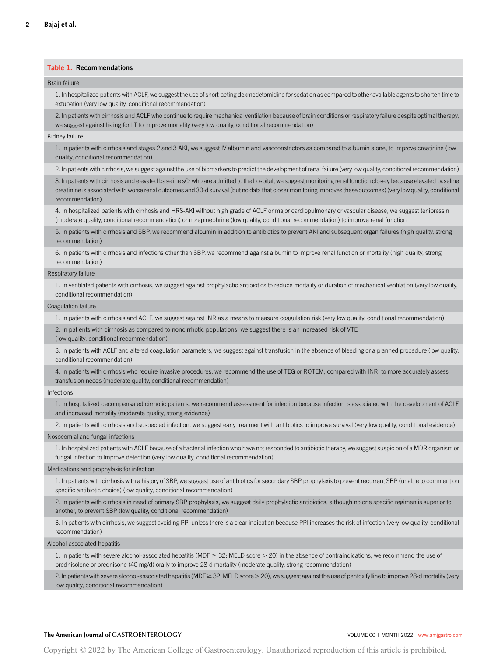# Table 1. Recommendations

#### Brain failure

1. In hospitalized patients with ACLF, we suggest the use of short-acting dexmedetomidine for sedation as compared to other available agents to shorten time to extubation (very low quality, conditional recommendation)

2. In patients with cirrhosis and ACLF who continue to require mechanical ventilation because of brain conditions or respiratory failure despite optimal therapy, we suggest against listing for LT to improve mortality (very low quality, conditional recommendation)

#### Kidney failure

1. In patients with cirrhosis and stages 2 and 3 AKI, we suggest IV albumin and vasoconstrictors as compared to albumin alone, to improve creatinine (low quality, conditional recommendation)

2. In patients with cirrhosis, we suggest against the use of biomarkers to predict the development of renal failure (very low quality, conditional recommendation)

3. In patients with cirrhosis and elevated baseline sCr who are admitted to the hospital, we suggest monitoring renal function closely because elevated baseline creatinine is associated with worse renal outcomes and 30-d survival (but no data that closer monitoring improves these outcomes) (very low quality, conditional recommendation)

4. In hospitalized patients with cirrhosis and HRS-AKI without high grade of ACLF or major cardiopulmonary or vascular disease, we suggest terlipressin (moderate quality, conditional recommendation) or norepinephrine (low quality, conditional recommendation) to improve renal function

5. In patients with cirrhosis and SBP, we recommend albumin in addition to antibiotics to prevent AKI and subsequent organ failures (high quality, strong recommendation)

6. In patients with cirrhosis and infections other than SBP, we recommend against albumin to improve renal function or mortality (high quality, strong recommendation)

#### Respiratory failure

1. In ventilated patients with cirrhosis, we suggest against prophylactic antibiotics to reduce mortality or duration of mechanical ventilation (very low quality, conditional recommendation)

#### Coagulation failure

1. In patients with cirrhosis and ACLF, we suggest against INR as a means to measure coagulation risk (very low quality, conditional recommendation)

2. In patients with cirrhosis as compared to noncirrhotic populations, we suggest there is an increased risk of VTE

(low quality, conditional recommendation)

3. In patients with ACLF and altered coagulation parameters, we suggest against transfusion in the absence of bleeding or a planned procedure (low quality, conditional recommendation)

4. In patients with cirrhosis who require invasive procedures, we recommend the use of TEG or ROTEM, compared with INR, to more accurately assess transfusion needs (moderate quality, conditional recommendation)

#### Infections

1. In hospitalized decompensated cirrhotic patients, we recommend assessment for infection because infection is associated with the development of ACLF and increased mortality (moderate quality, strong evidence)

2. In patients with cirrhosis and suspected infection, we suggest early treatment with antibiotics to improve survival (very low quality, conditional evidence)

#### Nosocomial and fungal infections

1. In hospitalized patients with ACLF because of a bacterial infection who have not responded to antibiotic therapy, we suggest suspicion of a MDR organism or fungal infection to improve detection (very low quality, conditional recommendation)

#### Medications and prophylaxis for infection

1. In patients with cirrhosis with a history of SBP, we suggest use of antibiotics for secondary SBP prophylaxis to prevent recurrent SBP (unable to comment on specific antibiotic choice) (low quality, conditional recommendation)

2. In patients with cirrhosis in need of primary SBP prophylaxis, we suggest daily prophylactic antibiotics, although no one specific regimen is superior to another, to prevent SBP (low quality, conditional recommendation)

3. In patients with cirrhosis, we suggest avoiding PPI unless there is a clear indication because PPI increases the risk of infection (very low quality, conditional recommendation)

#### Alcohol-associated hepatitis

1. In patients with severe alcohol-associated hepatitis (MDF $\geq$  32; MELD score  $>$  20) in the absence of contraindications, we recommend the use of prednisolone or prednisone (40 mg/d) orally to improve 28-d mortality (moderate quality, strong recommendation)

2. In patients with severe alcohol-associated hepatitis (MDF $\geq$  32; MELD score  $>$  20), we suggest against the use of pentoxifylline to improve 28-d mortality (very low quality, conditional recommendation)

#### The American Journal of GASTROENTEROLOGY **Volume 1999** VOLUME 00 | MONTH 2022 www.amigastro.com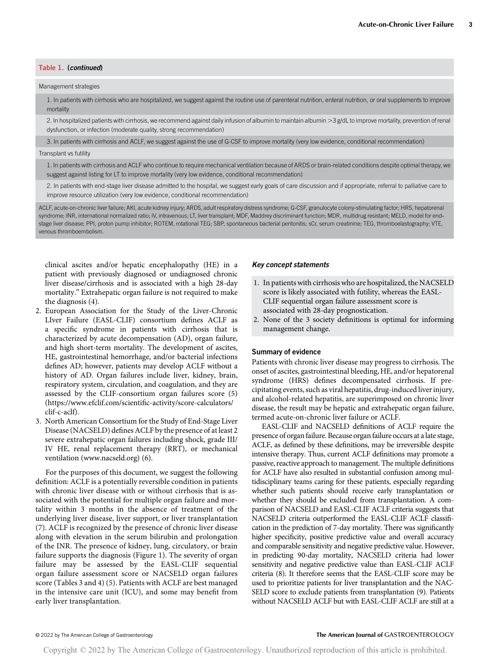# Table 1. (continued)

#### Management strategies

1. In patients with cirrhosis who are hospitalized, we suggest against the routine use of parenteral nutrition, enteral nutrition, or oral supplements to improve mortality

2. In hospitalized patients with cirrhosis, we recommend against daily infusion of albumin to maintain albumin >3 g/dL to improve mortality, prevention of renal dysfunction, or infection (moderate quality, strong recommendation)

3. In patients with cirrhosis and ACLF, we suggest against the use of G-CSF to improve mortality (very low evidence, conditional recommendation)

#### Transplant vs futility

1. In patients with cirrhosis and ACLF who continue to require mechanical ventilation because of ARDS or brain-related conditions despite optimal therapy, we suggest against listing for LT to improve mortality (very low evidence, conditional recommendation)

2. In patients with end-stage liver disease admitted to the hospital, we suggest early goals of care discussion and if appropriate, referral to palliative care to improve resource utilization (very low evidence, conditional recommendation)

ACLF, acute-on-chronic liver failure; AKI, acute kidney injury; ARDS, adult respiratory distress syndrome; G-CSF, granulocyte colony-stimulating factor; HRS, hepatorenal syndrome; INR, international normalized ratio; IV, intravenous; LT, liver transplant; MDF, Maddrey discriminant function; MDR, multidrug resistant; MELD, model for endstage liver disease; PPI, proton pump inhibitor; ROTEM, rotational TEG; SBP, spontaneous bacterial peritonitis; sCr, serum creatinine; TEG, thromboelastography; VTE, venous thromboembolism.

clinical ascites and/or hepatic encephalopathy (HE) in a patient with previously diagnosed or undiagnosed chronic liver disease/cirrhosis and is associated with a high 28-day mortality." Extrahepatic organ failure is not required to make the diagnosis (4).

- 2. European Association for the Study of the Liver-Chronic LIver Failure (EASL-CLIF) consortium defines ACLF as a specific syndrome in patients with cirrhosis that is characterized by acute decompensation (AD), organ failure, and high short-term mortality. The development of ascites, HE, gastrointestinal hemorrhage, and/or bacterial infections defines AD; however, patients may develop ACLF without a history of AD. Organ failures include liver, kidney, brain, respiratory system, circulation, and coagulation, and they are assessed by the CLIF-consortium organ failures score (5) ([https://www.efclif.com/scienti](https://www.efclif.com/scientific-activity/score-calculators/clif-c-aclf)fic-activity/score-calculators/ [clif-c-aclf](https://www.efclif.com/scientific-activity/score-calculators/clif-c-aclf)).
- 3. North American Consortium for the Study of End-Stage Liver Disease (NACSELD) defines ACLF by the presence of at least 2 severe extrahepatic organ failures including shock, grade III/ IV HE, renal replacement therapy (RRT), or mechanical ventilation ([www.nacseld.org\)](http://www.nacseld.org/) (6).

For the purposes of this document, we suggest the following definition: ACLF is a potentially reversible condition in patients with chronic liver disease with or without cirrhosis that is associated with the potential for multiple organ failure and mortality within 3 months in the absence of treatment of the underlying liver disease, liver support, or liver transplantation (7). ACLF is recognized by the presence of chronic liver disease along with elevation in the serum bilirubin and prolongation of the INR. The presence of kidney, lung, circulatory, or brain failure supports the diagnosis (Figure 1). The severity of organ failure may be assessed by the EASL-CLIF sequential organ failure assessment score or NACSELD organ failures score (Tables 3 and 4) (5). Patients with ACLF are best managed in the intensive care unit (ICU), and some may benefit from early liver transplantation.

#### Key concept statements

- 1. In patients with cirrhosis who are hospitalized, the NACSELD score is likely associated with futility, whereas the EASL-CLIF sequential organ failure assessment score is associated with 28-day prognostication.
- 2. None of the 3 society definitions is optimal for informing management change.

#### Summary of evidence

Patients with chronic liver disease may progress to cirrhosis. The onset of ascites, gastrointestinal bleeding, HE, and/or hepatorenal syndrome (HRS) defines decompensated cirrhosis. If precipitating events, such as viral hepatitis, drug-induced liver injury, and alcohol-related hepatitis, are superimposed on chronic liver disease, the result may be hepatic and extrahepatic organ failure, termed acute-on-chronic liver failure or ACLF.

EASL-CLIF and NACSELD definitions of ACLF require the presence of organ failure. Because organ failure occurs at a late stage, ACLF, as defined by these definitions, may be irreversible despite intensive therapy. Thus, current ACLF definitions may promote a passive, reactive approach to management. The multiple definitions for ACLF have also resulted in substantial confusion among multidisciplinary teams caring for these patients, especially regarding whether such patients should receive early transplantation or whether they should be excluded from transplantation. A comparison of NACSELD and EASL-CLIF ACLF criteria suggests that NACSELD criteria outperformed the EASL-CLIF ACLF classification in the prediction of 7-day mortality. There was significantly higher specificity, positive predictive value and overall accuracy and comparable sensitivity and negative predictive value. However, in predicting 90-day mortality, NACSELD criteria had lower sensitivity and negative predictive value than EASL-CLIF ACLF criteria (8). It therefore seems that the EASL-CLIF score may be used to prioritize patients for liver transplantation and the NAC-SELD score to exclude patients from transplantation (9). Patients without NACSELD ACLF but with EASL-CLIF ACLF are still at a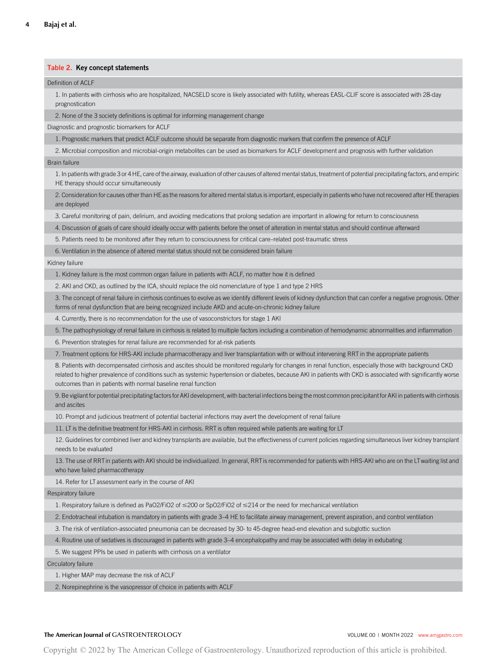# Table 2. Key concept statements

#### Definition of ACLF

1. In patients with cirrhosis who are hospitalized, NACSELD score is likely associated with futility, whereas EASL-CLIF score is associated with 28-day prognostication

2. None of the 3 society definitions is optimal for informing management change

Diagnostic and prognostic biomarkers for ACLF

1. Prognostic markers that predict ACLF outcome should be separate from diagnostic markers that confirm the presence of ACLF

2. Microbial composition and microbial-origin metabolites can be used as biomarkers for ACLF development and prognosis with further validation

#### Brain failure

1. In patients with grade 3 or 4 HE, care of the airway, evaluation of other causes of altered mental status, treatment of potential precipitating factors, and empiric HE therapy should occur simultaneously

2. Consideration for causes other than HE as the reasons for altered mental status is important, especially in patients who have not recovered after HE therapies are deployed

3. Careful monitoring of pain, delirium, and avoiding medications that prolong sedation are important in allowing for return to consciousness

4. Discussion of goals of care should ideally occur with patients before the onset of alteration in mental status and should continue afterward

5. Patients need to be monitored after they return to consciousness for critical care–related post-traumatic stress

6. Ventilation in the absence of altered mental status should not be considered brain failure

#### Kidney failure

1. Kidney failure is the most common organ failure in patients with ACLF, no matter how it is defined

2. AKI and CKD, as outlined by the ICA, should replace the old nomenclature of type 1 and type 2 HRS

3. The concept of renal failure in cirrhosis continues to evolve as we identify different levels of kidney dysfunction that can confer a negative prognosis. Other forms of renal dysfunction that are being recognized include AKD and acute-on-chronic kidney failure

4. Currently, there is no recommendation for the use of vasoconstrictors for stage 1 AKI

5. The pathophysiology of renal failure in cirrhosis is related to multiple factors including a combination of hemodynamic abnormalities and inflammation

6. Prevention strategies for renal failure are recommended for at-risk patients

7. Treatment options for HRS-AKI include pharmacotherapy and liver transplantation with or without intervening RRT in the appropriate patients

8. Patients with decompensated cirrhosis and ascites should be monitored regularly for changes in renal function, especially those with background CKD related to higher prevalence of conditions such as systemic hypertension or diabetes, because AKI in patients with CKD is associated with significantly worse outcomes than in patients with normal baseline renal function

9. Be vigilant for potential precipitating factors for AKI development, with bacterial infections being the most common precipitant for AKI in patients with cirrhosis and ascites

10. Prompt and judicious treatment of potential bacterial infections may avert the development of renal failure

11. LT is the definitive treatment for HRS-AKI in cirrhosis. RRT is often required while patients are waiting for LT

12. Guidelines for combined liver and kidney transplants are available, but the effectiveness of current policies regarding simultaneous liver kidney transplant needs to be evaluated

13. The use of RRT in patients with AKI should be individualized. In general, RRT is recommended for patients with HRS-AKI who are on the LTwaiting list and who have failed pharmacotherapy

14. Refer for LT assessment early in the course of AKI

#### Respiratory failure

1. Respiratory failure is defined as PaO2/FiO2 of  $\leq$ 200 or SpO2/FiO2 of  $\leq$ 214 or the need for mechanical ventilation

2. Endotracheal intubation is mandatory in patients with grade 3–4 HE to facilitate airway management, prevent aspiration, and control ventilation

3. The risk of ventilation-associated pneumonia can be decreased by 30- to 45-degree head-end elevation and subglottic suction

4. Routine use of sedatives is discouraged in patients with grade 3–4 encephalopathy and may be associated with delay in extubating

5. We suggest PPIs be used in patients with cirrhosis on a ventilator

Circulatory failure

1. Higher MAP may decrease the risk of ACLF

2. Norepinephrine is the vasopressor of choice in patients with ACLF

#### The American Journal of GASTROENTEROLOGY **Volume 1999** VOLUME 00 | MONTH 2022 www.amigastro.com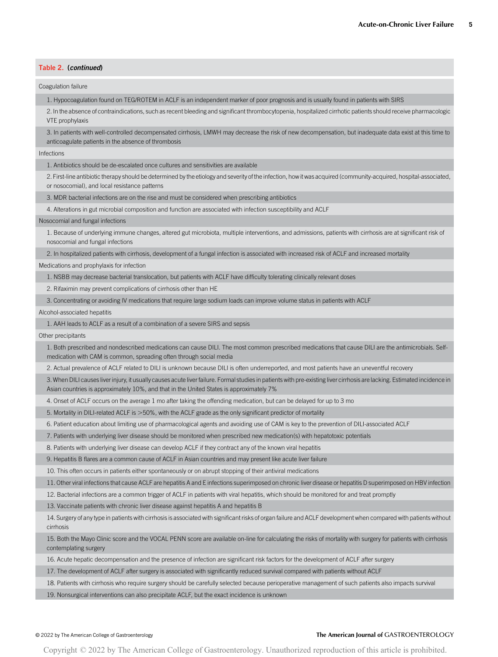# Table 2. (continued)

#### Coagulation failure

1. Hypocoagulation found on TEG/ROTEM in ACLF is an independent marker of poor prognosis and is usually found in patients with SIRS

2. In the absence of contraindications, such as recent bleeding and significant thrombocytopenia, hospitalized cirrhotic patients should receive pharmacologic VTE prophylaxis

3. In patients with well-controlled decompensated cirrhosis, LMWH may decrease the risk of new decompensation, but inadequate data exist at this time to anticoagulate patients in the absence of thrombosis

#### Infections

1. Antibiotics should be de-escalated once cultures and sensitivities are available

2. First-line antibiotic therapy should be determined by the etiology and severity of the infection, how it was acquired (community-acquired, hospital-associated, or nosocomial), and local resistance patterns

3. MDR bacterial infections are on the rise and must be considered when prescribing antibiotics

4. Alterations in gut microbial composition and function are associated with infection susceptibility and ACLF

#### Nosocomial and fungal infections

1. Because of underlying immune changes, altered gut microbiota, multiple interventions, and admissions, patients with cirrhosis are at significant risk of nosocomial and fungal infections

2. In hospitalized patients with cirrhosis, development of a fungal infection is associated with increased risk of ACLF and increased mortality

#### Medications and prophylaxis for infection

1. NSBB may decrease bacterial translocation, but patients with ACLF have difficulty tolerating clinically relevant doses

2. Rifaximin may prevent complications of cirrhosis other than HE

3. Concentrating or avoiding IV medications that require large sodium loads can improve volume status in patients with ACLF

Alcohol-associated hepatitis

1. AAH leads to ACLF as a result of a combination of a severe SIRS and sepsis

Other precipitants

1. Both prescribed and nondescribed medications can cause DILI. The most common prescribed medications that cause DILI are the antimicrobials. Selfmedication with CAM is common, spreading often through social media

2. Actual prevalence of ACLF related to DILI is unknown because DILI is often underreported, and most patients have an uneventful recovery

3. When DILI causes liver injury, it usually causes acute liver failure. Formal studies in patients with pre-existing liver cirrhosis are lacking. Estimated incidence in Asian countries is approximately 10%, and that in the United States is approximately 7%

4. Onset of ACLF occurs on the average 1 mo after taking the offending medication, but can be delayed for up to 3 mo

5. Mortality in DILI-related ACLF is >50%, with the ACLF grade as the only significant predictor of mortality

6. Patient education about limiting use of pharmacological agents and avoiding use of CAM is key to the prevention of DILI-associated ACLF

7. Patients with underlying liver disease should be monitored when prescribed new medication(s) with hepatotoxic potentials

8. Patients with underlying liver disease can develop ACLF if they contract any of the known viral hepatitis

9. Hepatitis B flares are a common cause of ACLF in Asian countries and may present like acute liver failure

10. This often occurs in patients either spontaneously or on abrupt stopping of their antiviral medications

11. Other viral infections that cause ACLF are hepatitis A and E infections superimposed on chronic liver disease or hepatitis D superimposed on HBV infection

12. Bacterial infections are a common trigger of ACLF in patients with viral hepatitis, which should be monitored for and treat promptly

13. Vaccinate patients with chronic liver disease against hepatitis A and hepatitis B

14. Surgery of any type in patients with cirrhosis is associated with significant risks of organ failure and ACLF development when compared with patients without cirrhosis

15. Both the Mayo Clinic score and the VOCAL PENN score are available on-line for calculating the risks of mortality with surgery for patients with cirrhosis contemplating surgery

16. Acute hepatic decompensation and the presence of infection are significant risk factors for the development of ACLF after surgery

17. The development of ACLF after surgery is associated with significantly reduced survival compared with patients without ACLF

18. Patients with cirrhosis who require surgery should be carefully selected because perioperative management of such patients also impacts survival

19. Nonsurgical interventions can also precipitate ACLF, but the exact incidence is unknown

#### © 2022 by The American College of Gastroenterology The American Journal of GASTROENTEROLOGY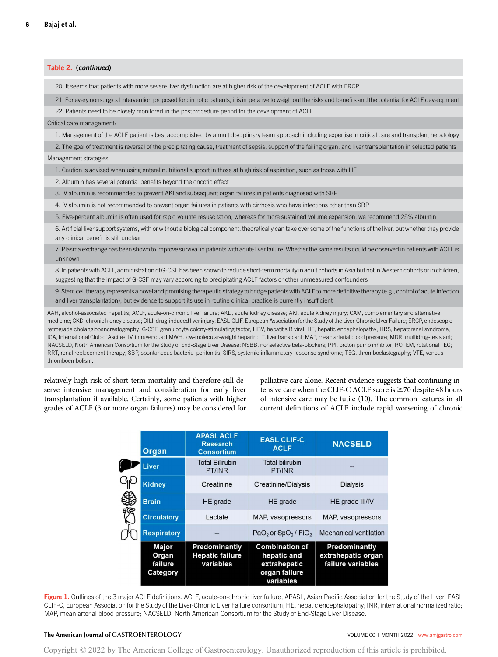Table 2. (continued) 20. It seems that patients with more severe liver dysfunction are at higher risk of the development of ACLF with ERCP 21. For every nonsurgical intervention proposed for cirrhotic patients, it is imperative to weigh out the risks and benefits and the potential for ACLF development 22. Patients need to be closely monitored in the postprocedure period for the development of ACLF Critical care management: 1. Management of the ACLF patient is best accomplished by a multidisciplinary team approach including expertise in critical care and transplant hepatology 2. The goal of treatment is reversal of the precipitating cause, treatment of sepsis, support of the failing organ, and liver transplantation in selected patients Management strategies 1. Caution is advised when using enteral nutritional support in those at high risk of aspiration, such as those with HE 2. Albumin has several potential benefits beyond the oncotic effect 3. IV albumin is recommended to prevent AKI and subsequent organ failures in patients diagnosed with SBP 4. IV albumin is not recommended to prevent organ failures in patients with cirrhosis who have infections other than SBP 5. Five-percent albumin is often used for rapid volume resuscitation, whereas for more sustained volume expansion, we recommend 25% albumin 6. Artificial liver support systems, with or without a biological component, theoretically can take over some of the functions of the liver, but whether they provide any clinical benefit is still unclear 7. Plasma exchange has been shown to improve survival in patients with acute liver failure. Whether the same results could be observed in patients with ACLF is unknown 8. In patients with ACLF, administration of G-CSF has been shown to reduce short-term mortality in adult cohorts in Asia but not in Western cohorts or in children, suggesting that the impact of G-CSF may vary according to precipitating ACLF factors or other unmeasured confounders 9. Stem cell therapy represents a novel and promising therapeutic strategy to bridge patients with ACLF to more definitive therapy (e.g., control of acute infection and liver transplantation), but evidence to support its use in routine clinical practice is currently insufficient AAH, alcohol-associated hepatitis; ACLF, acute-on-chronic liver failure; AKD, acute kidney disease; AKI, acute kidney injury; CAM, complementary and alternative medicine; CKD, chronic kidney disease; DILI, drug-induced liver injury; EASL-CLIF, European Association for the Study of the Liver-Chronic LIver Failure; ERCP, endoscopic retrograde cholangiopancreatography; G-CSF, granulocyte colony-stimulating factor; HBV, hepatitis B viral; HE, hepatic encephalopathy; HRS, hepatorenal syndrome; ICA, International Club of Ascites; IV, intravenous; LMWH, low-molecular-weight heparin; LT, liver transplant; MAP, mean arterial blood pressure; MDR, multidrug-resistant; NACSELD, North American Consortium for the Study of End-Stage Liver Disease; NSBB, nonselective beta-blockers; PPI, proton pump inhibitor; ROTEM, rotational TEG; RRT, renal replacement therapy; SBP, spontaneous bacterial peritonitis; SIRS, systemic inflammatory response syndrome; TEG, thromboelastography; VTE, venous thromboembolism.

relatively high risk of short-term mortality and therefore still deserve intensive management and consideration for early liver transplantation if available. Certainly, some patients with higher grades of ACLF (3 or more organ failures) may be considered for palliative care alone. Recent evidence suggests that continuing intensive care when the CLIF-C ACLF score is  $\geq$ 70 despite 48 hours of intensive care may be futile (10). The common features in all current definitions of ACLF include rapid worsening of chronic

| <b>Organ</b>                          | <b>APASLACLF</b><br><b>Research</b><br><b>Consortium</b> | <b>EASL CLIF-C</b><br><b>ACLF</b>                                                  | <b>NACSELD</b>                                                  |
|---------------------------------------|----------------------------------------------------------|------------------------------------------------------------------------------------|-----------------------------------------------------------------|
| Liver                                 | <b>Total Bilirubin</b><br>PT/INR                         | <b>Total bilirubin</b><br>PT/INR                                                   |                                                                 |
| <b>Kidney</b>                         | Creatinine                                               | Creatinine/Dialysis                                                                | <b>Dialysis</b>                                                 |
| <b>Brain</b>                          | <b>HE</b> grade                                          | HE grade                                                                           | HE grade III/IV                                                 |
| <b>Circulatory</b>                    | Lactate                                                  | MAP, vasopressors                                                                  | MAP, vasopressors                                               |
| <b>Respiratory</b>                    |                                                          | $PaO2$ or SpO <sub>2</sub> / FiO <sub>2</sub>                                      | <b>Mechanical ventilation</b>                                   |
| Major<br>Organ<br>failure<br>Category | Predominantly<br><b>Hepatic failure</b><br>variables     | <b>Combination of</b><br>hepatic and<br>extrahepatic<br>organ failure<br>variables | <b>Predominantly</b><br>extrahepatic organ<br>failure variables |

Figure 1. Outlines of the 3 major ACLF definitions. ACLF, acute-on-chronic liver failure; APASL, Asian Pacific Association for the Study of the Liver; EASL CLIF-C, European Association for the Study of the Liver-Chronic LIver Failure consortium; HE, hepatic encephalopathy; INR, international normalized ratio; MAP, mean arterial blood pressure; NACSELD, North American Consortium for the Study of End-Stage Liver Disease.

# The American Journal of GASTROENTEROLOGY **Volume 1999** VOLUME 00 | MONTH 2022 www.amigastro.com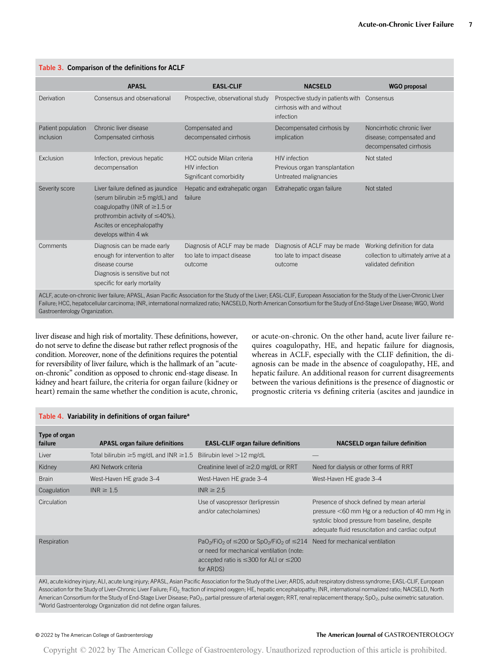|                                 | <b>APASL</b>                                                                                                                                                                                             | <b>EASL-CLIF</b>                                                              | <b>NACSELD</b>                                                                          | <b>WGO</b> proposal                                                                         |
|---------------------------------|----------------------------------------------------------------------------------------------------------------------------------------------------------------------------------------------------------|-------------------------------------------------------------------------------|-----------------------------------------------------------------------------------------|---------------------------------------------------------------------------------------------|
| Derivation                      | Consensus and observational                                                                                                                                                                              | Prospective, observational study                                              | Prospective study in patients with Consensus<br>cirrhosis with and without<br>infection |                                                                                             |
| Patient population<br>inclusion | Chronic liver disease<br>Compensated cirrhosis                                                                                                                                                           | Compensated and<br>decompensated cirrhosis                                    | Decompensated cirrhosis by<br>implication                                               | Noncirrhotic chronic liver<br>disease; compensated and<br>decompensated cirrhosis           |
| Exclusion                       | Infection, previous hepatic<br>decompensation                                                                                                                                                            | HCC outside Milan criteria<br><b>HIV</b> infection<br>Significant comorbidity | <b>HIV</b> infection<br>Previous organ transplantation<br>Untreated malignancies        | Not stated                                                                                  |
| Severity score                  | Liver failure defined as jaundice<br>(serum bilirubin ≥5 mg/dL) and<br>coagulopathy (INR of $\geq$ 1.5 or<br>prothrombin activity of $\leq 40\%$ ).<br>Ascites or encephalopathy<br>develops within 4 wk | Hepatic and extrahepatic organ<br>failure                                     | Extrahepatic organ failure                                                              | Not stated                                                                                  |
| Comments                        | Diagnosis can be made early<br>enough for intervention to alter<br>disease course<br>Diagnosis is sensitive but not<br>specific for early mortality                                                      | Diagnosis of ACLF may be made<br>too late to impact disease<br>outcome        | Diagnosis of ACLF may be made<br>too late to impact disease<br>outcome                  | Working definition for data<br>collection to ultimately arrive at a<br>validated definition |

Failure; HCC, hepatocellular carcinoma; INR, international normalized ratio; NACSELD, North American Consortium for the Study of End-Stage Liver Disease; WGO, World Gastroenterology Organization.

liver disease and high risk of mortality. These definitions, however, do not serve to define the disease but rather reflect prognosis of the condition. Moreover, none of the definitions requires the potential for reversibility of liver failure, which is the hallmark of an "acuteon-chronic" condition as opposed to chronic end-stage disease. In kidney and heart failure, the criteria for organ failure (kidney or heart) remain the same whether the condition is acute, chronic,

Table 4. Variability in definitions of organ failure<sup>a</sup>

or acute-on-chronic. On the other hand, acute liver failure requires coagulopathy, HE, and hepatic failure for diagnosis, whereas in ACLF, especially with the CLIF definition, the diagnosis can be made in the absence of coagulopathy, HE, and hepatic failure. An additional reason for current disagreements between the various definitions is the presence of diagnostic or prognostic criteria vs defining criteria (ascites and jaundice in

| Table 4. Valiability in definitions of organizations                                                                                                                          |                                                   |                                                                                                                                                                                                                                 |                                                                                                                                                                                                     |  |
|-------------------------------------------------------------------------------------------------------------------------------------------------------------------------------|---------------------------------------------------|---------------------------------------------------------------------------------------------------------------------------------------------------------------------------------------------------------------------------------|-----------------------------------------------------------------------------------------------------------------------------------------------------------------------------------------------------|--|
| Type of organ<br>failure                                                                                                                                                      | <b>APASL organ failure definitions</b>            | <b>EASL-CLIF organ failure definitions</b>                                                                                                                                                                                      | <b>NACSELD organ failure definition</b>                                                                                                                                                             |  |
| Liver                                                                                                                                                                         | Total bilirubin $\geq$ 5 mg/dL and INR $\geq$ 1.5 | Bilirubin level $>12$ mg/dL                                                                                                                                                                                                     |                                                                                                                                                                                                     |  |
| Kidney                                                                                                                                                                        | AKI Network criteria                              | Creatinine level of $\geq$ 2.0 mg/dL or RRT                                                                                                                                                                                     | Need for dialysis or other forms of RRT                                                                                                                                                             |  |
| <b>Brain</b>                                                                                                                                                                  | West-Haven HE grade 3-4                           | West-Haven HE grade 3-4                                                                                                                                                                                                         | West-Haven HE grade 3-4                                                                                                                                                                             |  |
| Coagulation                                                                                                                                                                   | INR $\geq 1.5$                                    | INR $\geq$ 2.5                                                                                                                                                                                                                  |                                                                                                                                                                                                     |  |
| Circulation                                                                                                                                                                   |                                                   | Use of vasopressor (terlipressin<br>and/or catecholamines)                                                                                                                                                                      | Presence of shock defined by mean arterial<br>pressure <60 mm Hg or a reduction of 40 mm Hg in<br>systolic blood pressure from baseline, despite<br>adequate fluid resuscitation and cardiac output |  |
| Respiration                                                                                                                                                                   |                                                   | $PaO_2/FiO_2$ of $\leq$ 200 or SpO <sub>2</sub> /FiO <sub>2</sub> of $\leq$ 214 Need for mechanical ventilation<br>or need for mechanical ventilation (note:<br>accepted ratio is $\leq$ 300 for ALI or $\leq$ 200<br>for ARDS) |                                                                                                                                                                                                     |  |
| AKI, acute kidney injury; ALI, acute lung injury; APASL, Asian Pacific Association for the Study of the Liver; ARDS, adult respiratory distress syndrome; EASL-CLIF, European |                                                   |                                                                                                                                                                                                                                 |                                                                                                                                                                                                     |  |

Association for the Study of Liver-Chronic Liver Failure; FiO<sub>2</sub>, fraction of inspired oxygen; HE, hepatic encephalopathy; INR, international normalized ratio; NACSELD, North American Consortium for the Study of End-Stage Liver Disease; PaO<sub>2</sub>, partial pressure of arterial oxygen; RRT, renal replacement therapy; SpO<sub>2</sub>, pulse oximetric saturation. aWorld Gastroenterology Organization did not define organ failures.

# Table 3. Comparison of the definitions for ACLF

# © 2022 by The American College of Gastroenterology The American Journal of GASTROENTEROLOGY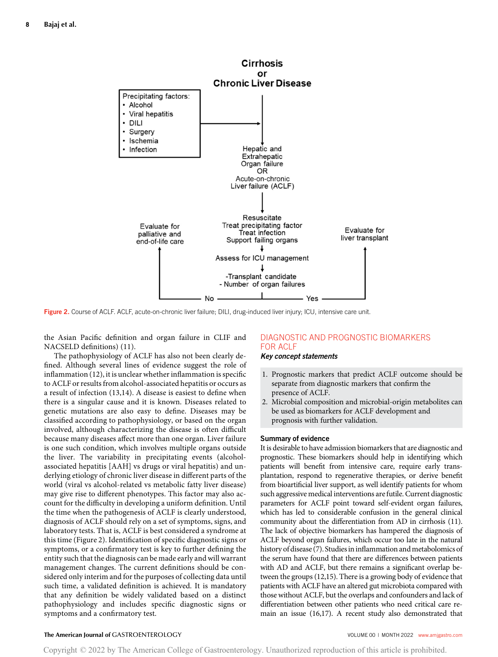

Figure 2. Course of ACLF. ACLF, acute-on-chronic liver failure; DILI, drug-induced liver injury; ICU, intensive care unit.

the Asian Pacific definition and organ failure in CLIF and NACSELD definitions) (11).

The pathophysiology of ACLF has also not been clearly defined. Although several lines of evidence suggest the role of inflammation (12), it is unclear whether inflammation is specific to ACLF or results from alcohol-associated hepatitis or occurs as a result of infection (13,14). A disease is easiest to define when there is a singular cause and it is known. Diseases related to genetic mutations are also easy to define. Diseases may be classified according to pathophysiology, or based on the organ involved, although characterizing the disease is often difficult because many diseases affect more than one organ. Liver failure is one such condition, which involves multiple organs outside the liver. The variability in precipitating events (alcoholassociated hepatitis [AAH] vs drugs or viral hepatitis) and underlying etiology of chronic liver disease in different parts of the world (viral vs alcohol-related vs metabolic fatty liver disease) may give rise to different phenotypes. This factor may also account for the difficulty in developing a uniform definition. Until the time when the pathogenesis of ACLF is clearly understood, diagnosis of ACLF should rely on a set of symptoms, signs, and laboratory tests. That is, ACLF is best considered a syndrome at this time (Figure 2). Identification of specific diagnostic signs or symptoms, or a confirmatory test is key to further defining the entity such that the diagnosis can be made early and will warrant management changes. The current definitions should be considered only interim and for the purposes of collecting data until such time, a validated definition is achieved. It is mandatory that any definition be widely validated based on a distinct pathophysiology and includes specific diagnostic signs or symptoms and a confirmatory test.

# DIAGNOSTIC AND PROGNOSTIC BIOMARKERS FOR ACLF

# Key concept statements

- 1. Prognostic markers that predict ACLF outcome should be separate from diagnostic markers that confirm the presence of ACLF.
- 2. Microbial composition and microbial-origin metabolites can be used as biomarkers for ACLF development and prognosis with further validation.

#### Summary of evidence

It is desirable to have admission biomarkers that are diagnostic and prognostic. These biomarkers should help in identifying which patients will benefit from intensive care, require early transplantation, respond to regenerative therapies, or derive benefit from bioartificial liver support, as well identify patients for whom such aggressive medical interventions are futile. Current diagnostic parameters for ACLF point toward self-evident organ failures, which has led to considerable confusion in the general clinical community about the differentiation from AD in cirrhosis (11). The lack of objective biomarkers has hampered the diagnosis of ACLF beyond organ failures, which occur too late in the natural history of disease (7). Studies in inflammation and metabolomics of the serum have found that there are differences between patients with AD and ACLF, but there remains a significant overlap between the groups (12,15). There is a growing body of evidence that patients with ACLF have an altered gut microbiota compared with those without ACLF, but the overlaps and confounders and lack of differentiation between other patients who need critical care remain an issue (16,17). A recent study also demonstrated that

# The American Journal of GASTROENTEROLOGY **Volume 1999** VOLUME 00 | MONTH 2022 www.amigastro.com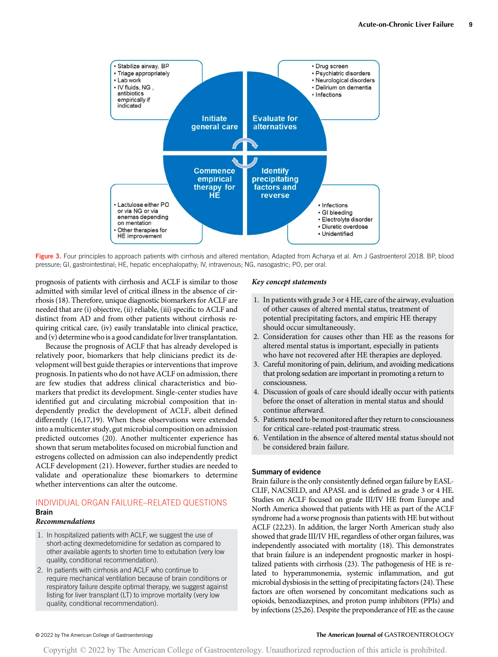

Figure 3. Four principles to approach patients with cirrhosis and altered mentation; Adapted from Acharya et al. Am J Gastroenterol 2018. BP, blood pressure; GI, gastrointestinal; HE, hepatic encephalopathy; IV, intravenous; NG, nasogastric; PO, per oral.

prognosis of patients with cirrhosis and ACLF is similar to those admitted with similar level of critical illness in the absence of cirrhosis (18). Therefore, unique diagnostic biomarkers for ACLF are needed that are (i) objective, (ii) reliable, (iii) specific to ACLF and distinct from AD and from other patients without cirrhosis requiring critical care, (iv) easily translatable into clinical practice, and (v) determine who is a good candidate for liver transplantation.

Because the prognosis of ACLF that has already developed is relatively poor, biomarkers that help clinicians predict its development will best guide therapies or interventions that improve prognosis. In patients who do not have ACLF on admission, there are few studies that address clinical characteristics and biomarkers that predict its development. Single-center studies have identified gut and circulating microbial composition that independently predict the development of ACLF, albeit defined differently (16,17,19). When these observations were extended into a multicenter study, gut microbial composition on admission predicted outcomes (20). Another multicenter experience has shown that serum metabolites focused on microbial function and estrogens collected on admission can also independently predict ACLF development (21). However, further studies are needed to validate and operationalize these biomarkers to determine whether interventions can alter the outcome.

# INDIVIDUAL ORGAN FAILURE–RELATED QUESTIONS

# **Brain**

# Recommendations

- 1. In hospitalized patients with ACLF, we suggest the use of short-acting dexmedetomidine for sedation as compared to other available agents to shorten time to extubation (very low quality, conditional recommendation).
- 2. In patients with cirrhosis and ACLF who continue to require mechanical ventilation because of brain conditions or respiratory failure despite optimal therapy, we suggest against listing for liver transplant (LT) to improve mortality (very low quality, conditional recommendation).

#### Key concept statements

- 1. In patients with grade 3 or 4 HE, care of the airway, evaluation of other causes of altered mental status, treatment of potential precipitating factors, and empiric HE therapy should occur simultaneously.
- 2. Consideration for causes other than HE as the reasons for altered mental status is important, especially in patients who have not recovered after HE therapies are deployed.
- 3. Careful monitoring of pain, delirium, and avoiding medications that prolong sedation are important in promoting a return to consciousness.
- 4. Discussion of goals of care should ideally occur with patients before the onset of alteration in mental status and should continue afterward.
- 5. Patients need to be monitored after they return to consciousness for critical care–related post-traumatic stress.
- 6. Ventilation in the absence of altered mental status should not be considered brain failure.

# Summary of evidence

Brain failure is the only consistently defined organ failure by EASL-CLIF, NACSELD, and APASL and is defined as grade 3 or 4 HE. Studies on ACLF focused on grade III/IV HE from Europe and North America showed that patients with HE as part of the ACLF syndrome had a worse prognosis than patients with HE but without ACLF (22,23). In addition, the larger North American study also showed that grade III/IV HE, regardless of other organ failures, was independently associated with mortality (18). This demonstrates that brain failure is an independent prognostic marker in hospitalized patients with cirrhosis (23). The pathogenesis of HE is related to hyperammonemia, systemic inflammation, and gut microbial dysbiosis in the setting of precipitating factors (24). These factors are often worsened by concomitant medications such as opioids, benzodiazepines, and proton pump inhibitors (PPIs) and by infections (25,26). Despite the preponderance of HE as the cause

# © 2022 by The American College of Gastroenterology The American Journal of GASTROENTEROLOGY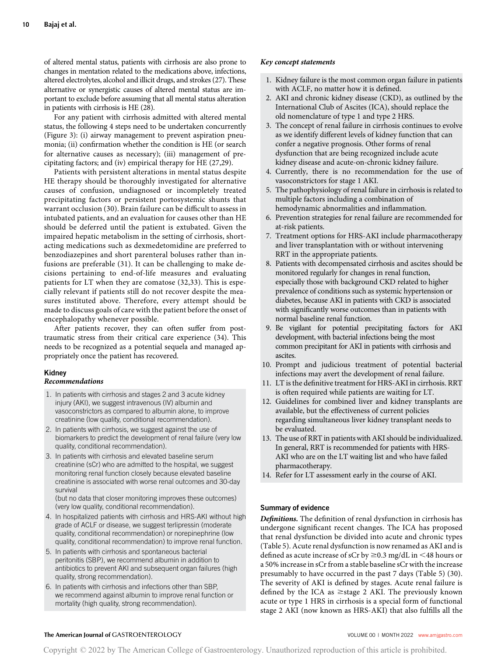of altered mental status, patients with cirrhosis are also prone to changes in mentation related to the medications above, infections, altered electrolytes, alcohol and illicit drugs, and strokes (27). These alternative or synergistic causes of altered mental status are important to exclude before assuming that all mental status alteration in patients with cirrhosis is HE (28).

For any patient with cirrhosis admitted with altered mental status, the following 4 steps need to be undertaken concurrently (Figure 3): (i) airway management to prevent aspiration pneumonia; (ii) confirmation whether the condition is HE (or search for alternative causes as necessary); (iii) management of precipitating factors; and (iv) empirical therapy for HE (27,29).

Patients with persistent alterations in mental status despite HE therapy should be thoroughly investigated for alternative causes of confusion, undiagnosed or incompletely treated precipitating factors or persistent portosystemic shunts that warrant occlusion (30). Brain failure can be difficult to assess in intubated patients, and an evaluation for causes other than HE should be deferred until the patient is extubated. Given the impaired hepatic metabolism in the setting of cirrhosis, shortacting medications such as dexmedetomidine are preferred to benzodiazepines and short parenteral boluses rather than infusions are preferable (31). It can be challenging to make decisions pertaining to end-of-life measures and evaluating patients for LT when they are comatose (32,33). This is especially relevant if patients still do not recover despite the measures instituted above. Therefore, every attempt should be made to discuss goals of care with the patient before the onset of encephalopathy whenever possible.

After patients recover, they can often suffer from posttraumatic stress from their critical care experience (34). This needs to be recognized as a potential sequela and managed appropriately once the patient has recovered.

# Kidney

#### Recommendations

- 1. In patients with cirrhosis and stages 2 and 3 acute kidney injury (AKI), we suggest intravenous (IV) albumin and vasoconstrictors as compared to albumin alone, to improve creatinine (low quality, conditional recommendation).
- 2. In patients with cirrhosis, we suggest against the use of biomarkers to predict the development of renal failure (very low quality, conditional recommendation).
- 3. In patients with cirrhosis and elevated baseline serum creatinine (sCr) who are admitted to the hospital, we suggest monitoring renal function closely because elevated baseline creatinine is associated with worse renal outcomes and 30-day survival

(but no data that closer monitoring improves these outcomes) (very low quality, conditional recommendation).

- 4. In hospitalized patients with cirrhosis and HRS-AKI without high grade of ACLF or disease, we suggest terlipressin (moderate quality, conditional recommendation) or norepinephrine (low quality, conditional recommendation) to improve renal function.
- 5. In patients with cirrhosis and spontaneous bacterial peritonitis (SBP), we recommend albumin in addition to antibiotics to prevent AKI and subsequent organ failures (high quality, strong recommendation).
- 6. In patients with cirrhosis and infections other than SBP, we recommend against albumin to improve renal function or mortality (high quality, strong recommendation).

#### Key concept statements

- 1. Kidney failure is the most common organ failure in patients with ACLF, no matter how it is defined.
- 2. AKI and chronic kidney disease (CKD), as outlined by the International Club of Ascites (ICA), should replace the old nomenclature of type 1 and type 2 HRS.
- 3. The concept of renal failure in cirrhosis continues to evolve as we identify different levels of kidney function that can confer a negative prognosis. Other forms of renal dysfunction that are being recognized include acute kidney disease and acute-on-chronic kidney failure.
- 4. Currently, there is no recommendation for the use of vasoconstrictors for stage 1 AKI.
- 5. The pathophysiology of renal failure in cirrhosis is related to multiple factors including a combination of hemodynamic abnormalities and inflammation.
- 6. Prevention strategies for renal failure are recommended for at-risk patients.
- 7. Treatment options for HRS-AKI include pharmacotherapy and liver transplantation with or without intervening RRT in the appropriate patients.
- 8. Patients with decompensated cirrhosis and ascites should be monitored regularly for changes in renal function, especially those with background CKD related to higher prevalence of conditions such as systemic hypertension or diabetes, because AKI in patients with CKD is associated with significantly worse outcomes than in patients with normal baseline renal function.
- 9. Be vigilant for potential precipitating factors for AKI development, with bacterial infections being the most common precipitant for AKI in patients with cirrhosis and ascites.
- 10. Prompt and judicious treatment of potential bacterial infections may avert the development of renal failure.
- 11. LT is the definitive treatment for HRS-AKI in cirrhosis. RRT is often required while patients are waiting for LT.
- 12. Guidelines for combined liver and kidney transplants are available, but the effectiveness of current policies regarding simultaneous liver kidney transplant needs to be evaluated.
- 13. The use of RRT in patients with AKI should be individualized. In general, RRT is recommended for patients with HRS-AKI who are on the LT waiting list and who have failed pharmacotherapy.
- 14. Refer for LT assessment early in the course of AKI.

#### Summary of evidence

Definitions. The definition of renal dysfunction in cirrhosis has undergone significant recent changes. The ICA has proposed that renal dysfunction be divided into acute and chronic types (Table 5). Acute renal dysfunction is now renamed as AKI and is defined as acute increase of sCr by  $\geq$ 0.3 mg/dL in <48 hours or a 50% increase in sCr from a stable baseline sCr with the increase presumably to have occurred in the past 7 days (Table 5) (30). The severity of AKI is defined by stages. Acute renal failure is defined by the ICA as  $\geq$ stage 2 AKI. The previously known acute or type 1 HRS in cirrhosis is a special form of functional stage 2 AKI (now known as HRS-AKI) that also fulfills all the

### The American Journal of GASTROENTEROLOGY **Annual American Journal of GASTROENTEROLOGY VOLUME 00 | MONTH 2022** [www.amjgastro.com](http://www.amjgastro.com)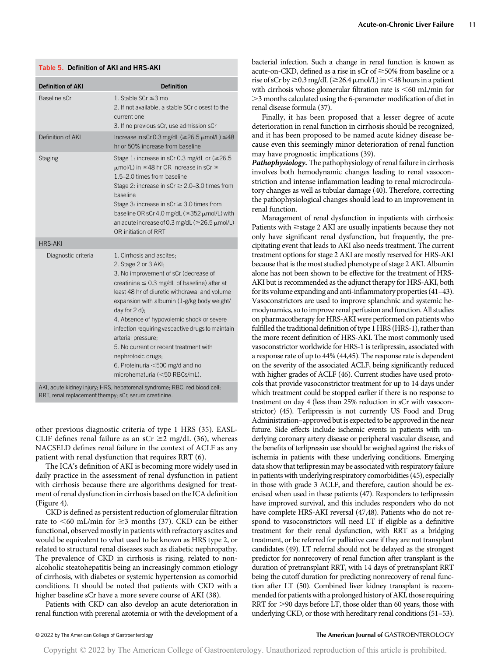| <b>Definition of AKI</b> | <b>Definition</b>                                                                                                                                                                                                                                                                                                                                                                                                                                                                                                           |
|--------------------------|-----------------------------------------------------------------------------------------------------------------------------------------------------------------------------------------------------------------------------------------------------------------------------------------------------------------------------------------------------------------------------------------------------------------------------------------------------------------------------------------------------------------------------|
| Baseline sCr             | 1. Stable SCr ≤3 mo<br>2. If not available, a stable SCr closest to the<br>current one<br>3. If no previous sCr, use admission sCr                                                                                                                                                                                                                                                                                                                                                                                          |
| Definition of AKI        | Increase in sCr 0.3 mg/dL ( $\geq$ 26.5 $\mu$ mol/L) $\leq$ 48<br>hr or 50% increase from baseline                                                                                                                                                                                                                                                                                                                                                                                                                          |
| <b>Staging</b>           | Stage 1: increase in sCr 0.3 mg/dL or $(\geq 26.5$<br>$\mu$ mol/L) in $\leq$ 48 hr OR increase in sCr $\geq$<br>1.5-2.0 times from baseline<br>Stage 2: increase in sCr $\geq$ 2.0–3.0 times from<br>baseline<br>Stage 3: increase in sCr $\geq$ 3.0 times from<br>baseline OR sCr 4.0 mg/dL ( $\geq$ 352 $\mu$ mol/L) with<br>an acute increase of 0.3 mg/dL ( $\geq$ 26.5 $\mu$ mol/L)<br>OR initiation of RRT                                                                                                            |
| <b>HRS-AKI</b>           |                                                                                                                                                                                                                                                                                                                                                                                                                                                                                                                             |
| Diagnostic criteria      | 1. Cirrhosis and ascites;<br>2. Stage 2 or 3 AKI;<br>3. No improvement of sCr (decrease of<br>creatinine $\leq$ 0.3 mg/dL of baseline) after at<br>least 48 hr of diuretic withdrawal and volume<br>expansion with albumin (1-g/kg body weight/<br>day for 2 d);<br>4. Absence of hypovolemic shock or severe<br>infection requiring vasoactive drugs to maintain<br>arterial pressure;<br>5. No current or recent treatment with<br>nephrotoxic drugs;<br>6. Proteinuria <500 mg/d and no<br>microhematuria (<50 RBCs/mL). |

other previous diagnostic criteria of type 1 HRS (35). EASL-CLIF defines renal failure as an sCr  $\geq$ 2 mg/dL (36), whereas NACSELD defines renal failure in the context of ACLF as any patient with renal dysfunction that requires RRT (6).

The ICA's definition of AKI is becoming more widely used in daily practice in the assessment of renal dysfunction in patient with cirrhosis because there are algorithms designed for treatment of renal dysfunction in cirrhosis based on the ICA definition (Figure 4).

CKD is defined as persistent reduction of glomerular filtration rate to  $\leq 60$  mL/min for  $\geq 3$  months (37). CKD can be either functional, observed mostly in patients with refractory ascites and would be equivalent to what used to be known as HRS type 2, or related to structural renal diseases such as diabetic nephropathy. The prevalence of CKD in cirrhosis is rising, related to nonalcoholic steatohepatitis being an increasingly common etiology of cirrhosis, with diabetes or systemic hypertension as comorbid conditions. It should be noted that patients with CKD with a higher baseline sCr have a more severe course of AKI (38).

Patients with CKD can also develop an acute deterioration in renal function with prerenal azotemia or with the development of a bacterial infection. Such a change in renal function is known as acute-on-CKD, defined as a rise in sCr of  $\geq$ 50% from baseline or a rise of sCr by  $\geq$  0.3 mg/dL ( $\geq$  26.4  $\mu$ mol/L) in <48 hours in a patient with cirrhosis whose glomerular filtration rate is  $\leq 60$  mL/min for .3 months calculated using the 6-parameter modification of diet in renal disease formula (37).

Finally, it has been proposed that a lesser degree of acute deterioration in renal function in cirrhosis should be recognized, and it has been proposed to be named acute kidney disease because even this seemingly minor deterioration of renal function may have prognostic implications (39).

Pathophysiology. The pathophysiology of renal failure in cirrhosis involves both hemodynamic changes leading to renal vasoconstriction and intense inflammation leading to renal microcirculatory changes as well as tubular damage (40). Therefore, correcting the pathophysiological changes should lead to an improvement in renal function.

Management of renal dysfunction in inpatients with cirrhosis: Patients with  $\geq$ stage 2 AKI are usually inpatients because they not only have significant renal dysfunction, but frequently, the precipitating event that leads to AKI also needs treatment. The current treatment options for stage 2 AKI are mostly reserved for HRS-AKI because that is the most studied phenotype of stage 2 AKI. Albumin alone has not been shown to be effective for the treatment of HRS-AKI but is recommended as the adjunct therapy for HRS-AKI, both for its volume expanding and anti-inflammatory properties (41–43). Vasoconstrictors are used to improve splanchnic and systemic hemodynamics, so to improve renal perfusion and function. All studies on pharmacotherapy for HRS-AKI were performed on patients who fulfilled the traditional definition of type 1 HRS (HRS-1), rather than the more recent definition of HRS-AKI. The most commonly used vasoconstrictor worldwide for HRS-1 is terlipressin, associated with a response rate of up to 44% (44,45). The response rate is dependent on the severity of the associated ACLF, being significantly reduced with higher grades of ACLF (46). Current studies have used protocols that provide vasoconstrictor treatment for up to 14 days under which treatment could be stopped earlier if there is no response to treatment on day 4 (less than 25% reduction in sCr with vasoconstrictor) (45). Terlipressin is not currently US Food and Drug Administration–approved but is expected to be approved in the near future. Side effects include ischemic events in patients with underlying coronary artery disease or peripheral vascular disease, and the benefits of terlipressin use should be weighed against the risks of ischemia in patients with these underlying conditions. Emerging data show that terlipressin may be associated with respiratory failure in patients with underlying respiratory comorbidities (45), especially in those with grade 3 ACLF, and therefore, caution should be exercised when used in these patients (47). Responders to terlipressin have improved survival, and this includes responders who do not have complete HRS-AKI reversal (47,48). Patients who do not respond to vasoconstrictors will need LT if eligible as a definitive treatment for their renal dysfunction, with RRT as a bridging treatment, or be referred for palliative care if they are not transplant candidates (49). LT referral should not be delayed as the strongest predictor for nonrecovery of renal function after transplant is the duration of pretransplant RRT, with 14 days of pretransplant RRT being the cutoff duration for predicting nonrecovery of renal function after LT (50). Combined liver kidney transplant is recommended for patients with a prolonged history of AKI, those requiring RRT for  $>$ 90 days before LT, those older than 60 years, those with underlying CKD, or those with hereditary renal conditions (51–53).

### © 2022 by The American College of Gastroenterology The American Journal of GASTROENTEROLOGY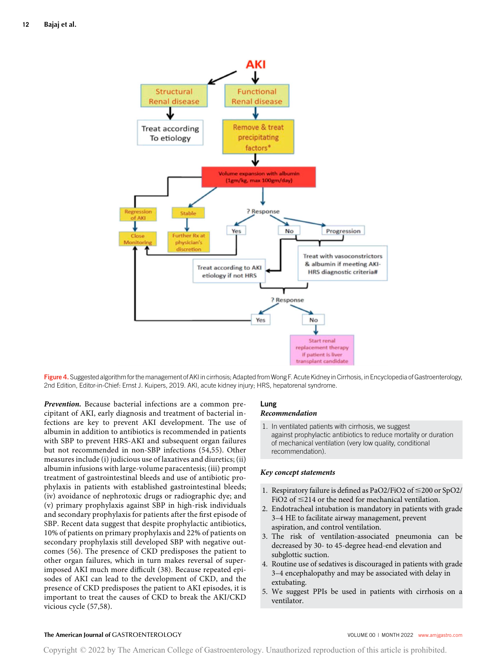

Figure 4. Suggested algorithm for the management of AKI in cirrhosis; Adapted from Wong F. Acute Kidney in Cirrhosis, in Encyclopedia of Gastroenterology, 2nd Edition, Editor-in-Chief: Ernst J. Kuipers, 2019. AKI, acute kidney injury; HRS, hepatorenal syndrome.

Prevention. Because bacterial infections are a common precipitant of AKI, early diagnosis and treatment of bacterial infections are key to prevent AKI development. The use of albumin in addition to antibiotics is recommended in patients with SBP to prevent HRS-AKI and subsequent organ failures but not recommended in non-SBP infections (54,55). Other measures include (i) judicious use of laxatives and diuretics; (ii) albumin infusions with large-volume paracentesis; (iii) prompt treatment of gastrointestinal bleeds and use of antibiotic prophylaxis in patients with established gastrointestinal bleeds; (iv) avoidance of nephrotoxic drugs or radiographic dye; and (v) primary prophylaxis against SBP in high-risk individuals and secondary prophylaxis for patients after the first episode of SBP. Recent data suggest that despite prophylactic antibiotics, 10% of patients on primary prophylaxis and 22% of patients on secondary prophylaxis still developed SBP with negative outcomes (56). The presence of CKD predisposes the patient to other organ failures, which in turn makes reversal of superimposed AKI much more difficult (38). Because repeated episodes of AKI can lead to the development of CKD, and the presence of CKD predisposes the patient to AKI episodes, it is important to treat the causes of CKD to break the AKI/CKD vicious cycle (57,58).

# Lung

# Recommendation

1. In ventilated patients with cirrhosis, we suggest against prophylactic antibiotics to reduce mortality or duration of mechanical ventilation (very low quality, conditional recommendation).

#### Key concept statements

- 1. Respiratory failure is defined as PaO2/FiO2 of  $\leq$ 200 or SpO2/ FiO2 of  $\leq$ 214 or the need for mechanical ventilation.
- 2. Endotracheal intubation is mandatory in patients with grade 3–4 HE to facilitate airway management, prevent aspiration, and control ventilation.
- 3. The risk of ventilation-associated pneumonia can be decreased by 30- to 45-degree head-end elevation and subglottic suction.
- 4. Routine use of sedatives is discouraged in patients with grade 3–4 encephalopathy and may be associated with delay in extubating.
- 5. We suggest PPIs be used in patients with cirrhosis on a ventilator.

# The American Journal of GASTROENTEROLOGY **Annual American Journal of GASTROENTEROLOGY VOLUME 00 | MONTH 2022** www.amigastro.com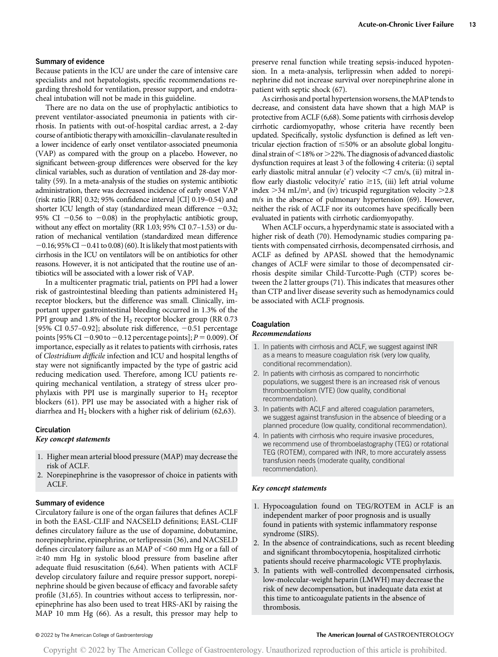#### Summary of evidence

Because patients in the ICU are under the care of intensive care specialists and not hepatologists, specific recommendations regarding threshold for ventilation, pressor support, and endotracheal intubation will not be made in this guideline.

There are no data on the use of prophylactic antibiotics to prevent ventilator-associated pneumonia in patients with cirrhosis. In patients with out-of-hospital cardiac arrest, a 2-day course of antibiotic therapy with amoxicillin–clavulanate resulted in a lower incidence of early onset ventilator-associated pneumonia (VAP) as compared with the group on a placebo. However, no significant between-group differences were observed for the key clinical variables, such as duration of ventilation and 28-day mortality (59). In a meta-analysis of the studies on systemic antibiotic administration, there was decreased incidence of early onset VAP (risk ratio [RR] 0.32; 95% confidence interval [CI] 0.19–0.54) and shorter ICU length of stay (standardized mean difference  $-0.32$ ; 95% CI  $-0.56$  to  $-0.08$ ) in the prophylactic antibiotic group, without any effect on mortality (RR 1.03; 95% CI 0.7–1.53) or duration of mechanical ventilation (standardized mean difference  $-0.16$ ; 95% CI  $-0.41$  to 0.08) (60). It is likely that most patients with cirrhosis in the ICU on ventilators will be on antibiotics for other reasons. However, it is not anticipated that the routine use of antibiotics will be associated with a lower risk of VAP.

In a multicenter pragmatic trial, patients on PPI had a lower risk of gastrointestinal bleeding than patients administered  $H_2$ receptor blockers, but the difference was small. Clinically, important upper gastrointestinal bleeding occurred in 1.3% of the PPI group and 1.8% of the  $H_2$  receptor blocker group (RR 0.73) [95% CI 0.57-0.92]; absolute risk difference,  $-0.51$  percentage points [95% CI -0.90 to -0.12 percentage points];  $P = 0.009$ ). Of importance, especially as it relates to patients with cirrhosis, rates of Clostridium difficile infection and ICU and hospital lengths of stay were not significantly impacted by the type of gastric acid reducing medication used. Therefore, among ICU patients requiring mechanical ventilation, a strategy of stress ulcer prophylaxis with PPI use is marginally superior to  $H_2$  receptor blockers (61). PPI use may be associated with a higher risk of diarrhea and  $H_2$  blockers with a higher risk of delirium (62,63).

#### **Circulation**

#### Key concept statements

- 1. Higher mean arterial blood pressure (MAP) may decrease the risk of ACLF.
- 2. Norepinephrine is the vasopressor of choice in patients with ACLF.

#### Summary of evidence

Circulatory failure is one of the organ failures that defines ACLF in both the EASL-CLIF and NACSELD definitions; EASL-CLIF defines circulatory failure as the use of dopamine, dobutamine, norepinephrine, epinephrine, or terlipressin (36), and NACSELD defines circulatory failure as an MAP of  $\leq 60$  mm Hg or a fall of  $\geq$ 40 mm Hg in systolic blood pressure from baseline after adequate fluid resuscitation (6,64). When patients with ACLF develop circulatory failure and require pressor support, norepinephrine should be given because of efficacy and favorable safety profile (31,65). In countries without access to terlipressin, norepinephrine has also been used to treat HRS-AKI by raising the MAP 10 mm Hg (66). As a result, this pressor may help to

preserve renal function while treating sepsis-induced hypotension. In a meta-analysis, terlipressin when added to norepinephrine did not increase survival over norepinephrine alone in patient with septic shock (67).

As cirrhosis and portal hypertension worsens, the MAP tends to decrease, and consistent data have shown that a high MAP is protective from ACLF (6,68). Some patients with cirrhosis develop cirrhotic cardiomyopathy, whose criteria have recently been updated. Specifically, systolic dysfunction is defined as left ventricular ejection fraction of  $\leq 50\%$  or an absolute global longitudinal strain of  $\leq$ 18% or  $\geq$ 22%. The diagnosis of advanced diastolic dysfunction requires at least 3 of the following 4 criteria: (i) septal early diastolic mitral annular (e') velocity  $<$  7 cm/s, (ii) mitral inflow early diastolic velocity/e' ratio  $\geq$ 15, (iii) left atrial volume index  $>$  34 mL/m<sup>2</sup>, and (iv) tricuspid regurgitation velocity  $>$  2.8 m/s in the absence of pulmonary hypertension (69). However, neither the risk of ACLF nor its outcomes have specifically been evaluated in patients with cirrhotic cardiomyopathy.

When ACLF occurs, a hyperdynamic state is associated with a higher risk of death (70). Hemodynamic studies comparing patients with compensated cirrhosis, decompensated cirrhosis, and ACLF as defined by APASL showed that the hemodynamic changes of ACLF were similar to those of decompensated cirrhosis despite similar Child-Turcotte-Pugh (CTP) scores between the 2 latter groups (71). This indicates that measures other than CTP and liver disease severity such as hemodynamics could be associated with ACLF prognosis.

# Coagulation

# Recommendations

- 1. In patients with cirrhosis and ACLF, we suggest against INR as a means to measure coagulation risk (very low quality, conditional recommendation).
- 2. In patients with cirrhosis as compared to noncirrhotic populations, we suggest there is an increased risk of venous thromboembolism (VTE) (low quality, conditional recommendation).
- 3. In patients with ACLF and altered coagulation parameters, we suggest against transfusion in the absence of bleeding or a planned procedure (low quality, conditional recommendation).
- 4. In patients with cirrhosis who require invasive procedures, we recommend use of thromboelastography (TEG) or rotational TEG (ROTEM), compared with INR, to more accurately assess transfusion needs (moderate quality, conditional recommendation).

#### Key concept statements

- 1. Hypocoagulation found on TEG/ROTEM in ACLF is an independent marker of poor prognosis and is usually found in patients with systemic inflammatory response syndrome (SIRS).
- 2. In the absence of contraindications, such as recent bleeding and significant thrombocytopenia, hospitalized cirrhotic patients should receive pharmacologic VTE prophylaxis.
- 3. In patients with well-controlled decompensated cirrhosis, low-molecular-weight heparin (LMWH) may decrease the risk of new decompensation, but inadequate data exist at this time to anticoagulate patients in the absence of thrombosis.

#### © 2022 by The American College of Gastroenterology The American Journal of GASTROENTEROLOGY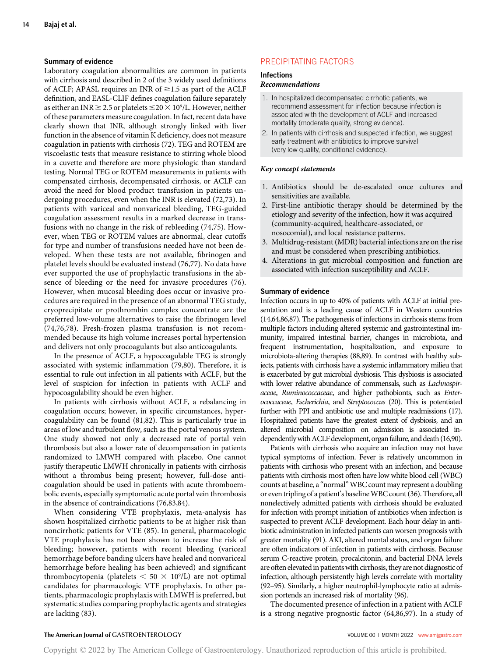#### Summary of evidence

Laboratory coagulation abnormalities are common in patients with cirrhosis and described in 2 of the 3 widely used definitions of ACLF; APASL requires an INR of  $\geq$ 1.5 as part of the ACLF definition, and EASL-CLIF defines coagulation failure separately as either an INR  $\geq$  2.5 or platelets  $\leq$  20  $\times$  10<sup>9</sup>/L. However, neither of these parameters measure coagulation. In fact, recent data have clearly shown that INR, although strongly linked with liver function in the absence of vitamin K deficiency, does not measure coagulation in patients with cirrhosis (72). TEG and ROTEM are viscoelastic tests that measure resistance to stirring whole blood in a cuvette and therefore are more physiologic than standard testing. Normal TEG or ROTEM measurements in patients with compensated cirrhosis, decompensated cirrhosis, or ACLF can avoid the need for blood product transfusion in patients undergoing procedures, even when the INR is elevated (72,73). In patients with variceal and nonvariceal bleeding, TEG-guided coagulation assessment results in a marked decrease in transfusions with no change in the risk of rebleeding (74,75). However, when TEG or ROTEM values are abnormal, clear cutoffs for type and number of transfusions needed have not been developed. When these tests are not available, fibrinogen and platelet levels should be evaluated instead (76,77). No data have ever supported the use of prophylactic transfusions in the absence of bleeding or the need for invasive procedures (76). However, when mucosal bleeding does occur or invasive procedures are required in the presence of an abnormal TEG study, cryoprecipitate or prothrombin complex concentrate are the preferred low-volume alternatives to raise the fibrinogen level (74,76,78). Fresh-frozen plasma transfusion is not recommended because its high volume increases portal hypertension and delivers not only procoagulants but also anticoagulants.

In the presence of ACLF, a hypocoagulable TEG is strongly associated with systemic inflammation (79,80). Therefore, it is essential to rule out infection in all patients with ACLF, but the level of suspicion for infection in patients with ACLF and hypocoagulability should be even higher.

In patients with cirrhosis without ACLF, a rebalancing in coagulation occurs; however, in specific circumstances, hypercoagulability can be found (81,82). This is particularly true in areas of low and turbulent flow, such as the portal venous system. One study showed not only a decreased rate of portal vein thrombosis but also a lower rate of decompensation in patients randomized to LMWH compared with placebo. One cannot justify therapeutic LMWH chronically in patients with cirrhosis without a thrombus being present; however, full-dose anticoagulation should be used in patients with acute thromboembolic events, especially symptomatic acute portal vein thrombosis in the absence of contraindications (76,83,84).

When considering VTE prophylaxis, meta-analysis has shown hospitalized cirrhotic patients to be at higher risk than noncirrhotic patients for VTE (85). In general, pharmacologic VTE prophylaxis has not been shown to increase the risk of bleeding; however, patients with recent bleeding (variceal hemorrhage before banding ulcers have healed and nonvariceal hemorrhage before healing has been achieved) and significant thrombocytopenia (platelets  $< 50 \times 10^9$ /L) are not optimal candidates for pharmacologic VTE prophylaxis. In other patients, pharmacologic prophylaxis with LMWH is preferred, but systematic studies comparing prophylactic agents and strategies are lacking (83).

# PRECIPITATING FACTORS

# **Infections**

# Recommendations

- 1. In hospitalized decompensated cirrhotic patients, we recommend assessment for infection because infection is associated with the development of ACLF and increased mortality (moderate quality, strong evidence).
- 2. In patients with cirrhosis and suspected infection, we suggest early treatment with antibiotics to improve survival (very low quality, conditional evidence).

#### Key concept statements

- 1. Antibiotics should be de-escalated once cultures and sensitivities are available.
- 2. First-line antibiotic therapy should be determined by the etiology and severity of the infection, how it was acquired (community-acquired, healthcare-associated, or nosocomial), and local resistance patterns.
- 3. Multidrug-resistant (MDR) bacterial infections are on the rise and must be considered when prescribing antibiotics.
- 4. Alterations in gut microbial composition and function are associated with infection susceptibility and ACLF.

#### Summary of evidence

Infection occurs in up to 40% of patients with ACLF at initial presentation and is a leading cause of ACLF in Western countries (14,64,86,87). The pathogenesis of infections in cirrhosis stems from multiple factors including altered systemic and gastrointestinal immunity, impaired intestinal barrier, changes in microbiota, and frequent instrumentation, hospitalization, and exposure to microbiota-altering therapies (88,89). In contrast with healthy subjects, patients with cirrhosis have a systemic inflammatory milieu that is exacerbated by gut microbial dysbiosis. This dysbiosis is associated with lower relative abundance of commensals, such as Lachnospiraceae, Ruminococcaceae, and higher pathobionts, such as Enterococcaceae, Escherichia, and Streptococcus (20). This is potentiated further with PPI and antibiotic use and multiple readmissions (17). Hospitalized patients have the greatest extent of dysbiosis, and an altered microbial composition on admission is associated independently with ACLF development, organ failure, and death (16,90).

Patients with cirrhosis who acquire an infection may not have typical symptoms of infection. Fever is relatively uncommon in patients with cirrhosis who present with an infection, and because patients with cirrhosis most often have low white blood cell (WBC) counts at baseline, a "normal"WBC count may represent a doubling or even tripling of a patient's baselineWBC count (36). Therefore, all nonelectively admitted patients with cirrhosis should be evaluated for infection with prompt initiation of antibiotics when infection is suspected to prevent ACLF development. Each hour delay in antibiotic administration in infected patients can worsen prognosis with greater mortality (91). AKI, altered mental status, and organ failure are often indicators of infection in patients with cirrhosis. Because serum C-reactive protein, procalcitonin, and bacterial DNA levels are often elevated in patients with cirrhosis, they are not diagnostic of infection, although persistently high levels correlate with mortality (92–95). Similarly, a higher neutrophil-lymphocyte ratio at admission portends an increased risk of mortality (96).

The documented presence of infection in a patient with ACLF is a strong negative prognostic factor (64,86,97). In a study of

#### The American Journal of GASTROENTEROLOGY **Annual American Journal of GASTROENTEROLOGY VOLUME 00 | MONTH 2022** [www.amjgastro.com](http://www.amjgastro.com)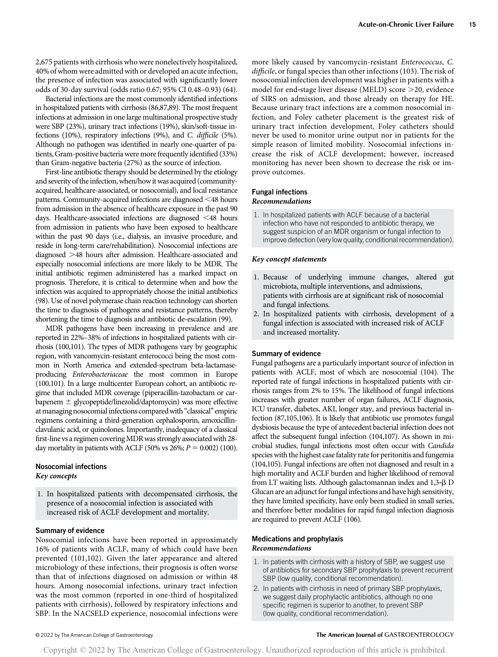2,675 patients with cirrhosis who were nonelectively hospitalized, 40% of whom were admitted with or developed an acute infection, the presence of infection was associated with significantly lower odds of 30-day survival (odds ratio 0.67; 95% CI 0.48–0.93) (64).

Bacterial infections are the most commonly identified infections in hospitalized patients with cirrhosis (86,87,89). The most frequent infections at admission in one large multinational prospective study were SBP (23%), urinary tract infections (19%), skin/soft-tissue infections (10%), respiratory infections (9%), and C. difficile (5%). Although no pathogen was identified in nearly one-quarter of patients, Gram-positive bacteria were more frequently identified (33%) than Gram-negative bacteria (27%) as the source of infection.

First-line antibiotic therapy should be determined by the etiology and severity of the infection, when/how it was acquired (communityacquired, healthcare-associated, or nosocomial), and local resistance patterns. Community-acquired infections are diagnosed <48 hours from admission in the absence of healthcare exposure in the past 90 days. Healthcare-associated infections are diagnosed  $\leq$  48 hours from admission in patients who have been exposed to healthcare within the past 90 days (i.e., dialysis, an invasive procedure, and reside in long-term care/rehabilitation). Nosocomial infections are diagnosed >48 hours after admission. Healthcare-associated and especially nosocomial infections are more likely to be MDR. The initial antibiotic regimen administered has a marked impact on prognosis. Therefore, it is critical to determine when and how the infection was acquired to appropriately choose the initial antibiotics (98). Use of novel polymerase chain reaction technology can shorten the time to diagnosis of pathogens and resistance patterns, thereby shortening the time to diagnosis and antibiotic de-escalation (99).

MDR pathogens have been increasing in prevalence and are reported in 22%–38% of infections in hospitalized patients with cirrhosis (100,101). The types of MDR pathogens vary by geographic region, with vancomycin-resistant enterococci being the most common in North America and extended-spectrum beta-lactamaseproducing Enterobacteriaceae the most common in Europe (100,101). In a large multicenter European cohort, an antibiotic regime that included MDR coverage (piperacillin-tazobactam or carbapenem  $\pm$  glycopeptide/linezolid/daptomycin) was more effective at managing nosocomial infections compared with "classical" empiric regimens containing a third-generation cephalosporin, amoxicillinclavulanic acid, or quinolones. Importantly, inadequacy of a classical first-line vs a regimen coveringMDRwas strongly associated with 28 day mortality in patients with ACLF (50% vs 26%;  $P = 0.002$ ) (100).

## Nosocomial infections Key concepts

1. In hospitalized patients with decompensated cirrhosis, the presence of a nosocomial infection is associated with increased risk of ACLF development and mortality.

#### Summary of evidence

Nosocomial infections have been reported in approximately 16% of patients with ACLF, many of which could have been prevented (101,102). Given the later appearance and altered microbiology of these infections, their prognosis is often worse than that of infections diagnosed on admission or within 48 hours. Among nosocomial infections, urinary tract infection was the most common (reported in one-third of hospitalized patients with cirrhosis), followed by respiratory infections and SBP. In the NACSELD experience, nosocomial infections were more likely caused by vancomycin-resistant Enterococcus, C. difficile, or fungal species than other infections (103). The risk of nosocomial infection development was higher in patients with a model for end-stage liver disease (MELD) score  $>$ 20, evidence of SIRS on admission, and those already on therapy for HE. Because urinary tract infections are a common nosocomial infection, and Foley catheter placement is the greatest risk of urinary tract infection development, Foley catheters should never be used to monitor urine output nor in patients for the simple reason of limited mobility. Nosocomial infections increase the risk of ACLF development; however, increased monitoring has never been shown to decrease the risk or improve outcomes.

#### Fungal infections Recommendations

1. In hospitalized patients with ACLF because of a bacterial infection who have not responded to antibiotic therapy, we suggest suspicion of an MDR organism or fungal infection to improve detection (very low quality, conditional recommendation).

#### Key concept statements

- 1. Because of underlying immune changes, altered gut microbiota, multiple interventions, and admissions, patients with cirrhosis are at significant risk of nosocomial and fungal infections.
- 2. In hospitalized patients with cirrhosis, development of a fungal infection is associated with increased risk of ACLF and increased mortality.

#### Summary of evidence

Fungal pathogens are a particularly important source of infection in patients with ACLF, most of which are nosocomial (104). The reported rate of fungal infections in hospitalized patients with cirrhosis ranges from 2% to 15%. The likelihood of fungal infections increases with greater number of organ failures, ACLF diagnosis, ICU transfer, diabetes, AKI, longer stay, and previous bacterial infection (87,105,106). It is likely that antibiotic use promotes fungal dysbiosis because the type of antecedent bacterial infection does not affect the subsequent fungal infection (104,107). As shown in microbial studies, fungal infections most often occur with Candida species with the highest case fatality rate for peritonitis and fungemia (104,105). Fungal infections are often not diagnosed and result in a high mortality and ACLF burden and higher likelihood of removal from LT waiting lists. Although galactomannan index and 1,3‐b D Glucan are an adjunct for fungal infections and have high sensitivity, they have limited specificity, have only been studied in small series, and therefore better modalities for rapid fungal infection diagnosis are required to prevent ACLF (106).

# Medications and prophylaxis Recommendations

- 1. In patients with cirrhosis with a history of SBP, we suggest use of antibiotics for secondary SBP prophylaxis to prevent recurrent SBP (low quality, conditional recommendation).
- 2. In patients with cirrhosis in need of primary SBP prophylaxis, we suggest daily prophylactic antibiotics, although no one specific regimen is superior to another, to prevent SBP (low quality, conditional recommendation).

#### © 2022 by The American College of Gastroenterology The American Journal of GASTROENTEROLOGY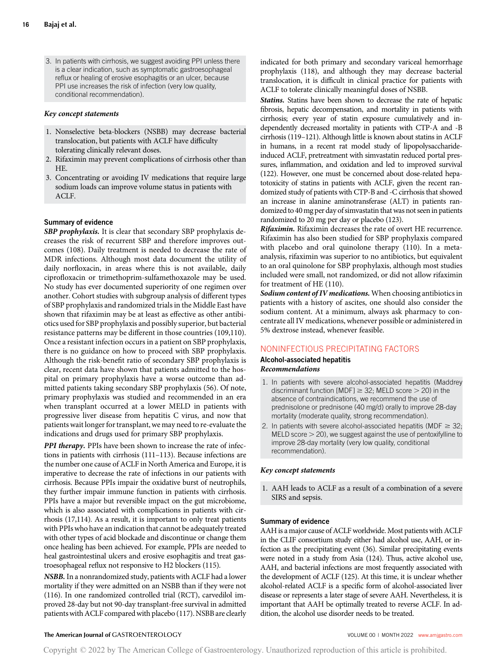3. In patients with cirrhosis, we suggest avoiding PPI unless there is a clear indication, such as symptomatic gastroesophageal reflux or healing of erosive esophagitis or an ulcer, because PPI use increases the risk of infection (very low quality, conditional recommendation).

### Key concept statements

- 1. Nonselective beta-blockers (NSBB) may decrease bacterial translocation, but patients with ACLF have difficulty tolerating clinically relevant doses.
- 2. Rifaximin may prevent complications of cirrhosis other than HE.
- 3. Concentrating or avoiding IV medications that require large sodium loads can improve volume status in patients with ACLF.

# Summary of evidence

SBP prophylaxis. It is clear that secondary SBP prophylaxis decreases the risk of recurrent SBP and therefore improves outcomes (108). Daily treatment is needed to decrease the rate of MDR infections. Although most data document the utility of daily norfloxacin, in areas where this is not available, daily ciprofloxacin or trimethoprim-sulfamethoxazole may be used. No study has ever documented superiority of one regimen over another. Cohort studies with subgroup analysis of different types of SBP prophylaxis and randomized trials in the Middle East have shown that rifaximin may be at least as effective as other antibiotics used for SBP prophylaxis and possibly superior, but bacterial resistance patterns may be different in those countries (109,110). Once a resistant infection occurs in a patient on SBP prophylaxis, there is no guidance on how to proceed with SBP prophylaxis. Although the risk-benefit ratio of secondary SBP prophylaxis is clear, recent data have shown that patients admitted to the hospital on primary prophylaxis have a worse outcome than admitted patients taking secondary SBP prophylaxis (56). Of note, primary prophylaxis was studied and recommended in an era when transplant occurred at a lower MELD in patients with progressive liver disease from hepatitis C virus, and now that patients wait longer for transplant, we may need to re-evaluate the indications and drugs used for primary SBP prophylaxis.

PPI therapy. PPIs have been shown to increase the rate of infections in patients with cirrhosis (111–113). Because infections are the number one cause of ACLF in North America and Europe, it is imperative to decrease the rate of infections in our patients with cirrhosis. Because PPIs impair the oxidative burst of neutrophils, they further impair immune function in patients with cirrhosis. PPIs have a major but reversible impact on the gut microbiome, which is also associated with complications in patients with cirrhosis (17,114). As a result, it is important to only treat patients with PPIs who have an indication that cannot be adequately treated with other types of acid blockade and discontinue or change them once healing has been achieved. For example, PPIs are needed to heal gastrointestinal ulcers and erosive esophagitis and treat gastroesophageal reflux not responsive to H2 blockers (115).

NSBB. In a nonrandomized study, patients with ACLF had a lower mortality if they were admitted on an NSBB than if they were not (116). In one randomized controlled trial (RCT), carvedilol improved 28-day but not 90-day transplant-free survival in admitted patients with ACLF compared with placebo (117). NSBB are clearly indicated for both primary and secondary variceal hemorrhage prophylaxis (118), and although they may decrease bacterial translocation, it is difficult in clinical practice for patients with ACLF to tolerate clinically meaningful doses of NSBB.

Statins. Statins have been shown to decrease the rate of hepatic fibrosis, hepatic decompensation, and mortality in patients with cirrhosis; every year of statin exposure cumulatively and independently decreased mortality in patients with CTP-A and -B cirrhosis (119–121). Although little is known about statins in ACLF in humans, in a recent rat model study of lipopolysaccharideinduced ACLF, pretreatment with simvastatin reduced portal pressures, inflammation, and oxidation and led to improved survival (122). However, one must be concerned about dose-related hepatotoxicity of statins in patients with ACLF, given the recent randomized study of patients with CTP-B and -C cirrhosis that showed an increase in alanine aminotransferase (ALT) in patients randomized to 40 mg per day of simvastatin that was not seen in patients randomized to 20 mg per day or placebo (123).

Rifaximin. Rifaximin decreases the rate of overt HE recurrence. Rifaximin has also been studied for SBP prophylaxis compared with placebo and oral quinolone therapy (110). In a metaanalysis, rifaximin was superior to no antibiotics, but equivalent to an oral quinolone for SBP prophylaxis, although most studies included were small, not randomized, or did not allow rifaximin for treatment of HE (110).

Sodium content of IV medications. When choosing antibiotics in patients with a history of ascites, one should also consider the sodium content. At a minimum, always ask pharmacy to concentrate all IV medications, whenever possible or administered in 5% dextrose instead, whenever feasible.

# NONINFECTIOUS PRECIPITATING FACTORS

# Alcohol-associated hepatitis Recommendations

- 1. In patients with severe alcohol-associated hepatitis (Maddrey discriminant function [MDF]  $\geq$  32; MELD score  $>$  20) in the absence of contraindications, we recommend the use of prednisolone or prednisone (40 mg/d) orally to improve 28-day mortality (moderate quality, strong recommendation).
- 2. In patients with severe alcohol-associated hepatitis (MDF  $\geq$  32;  $MELD score > 20$ , we suggest against the use of pentoxifylline to improve 28-day mortality (very low quality, conditional recommendation).

# Key concept statements

1. AAH leads to ACLF as a result of a combination of a severe SIRS and sepsis.

# Summary of evidence

AAH is a major cause of ACLF worldwide. Most patients with ACLF in the CLIF consortium study either had alcohol use, AAH, or infection as the precipitating event (36). Similar precipitating events were noted in a study from Asia (124). Thus, active alcohol use, AAH, and bacterial infections are most frequently associated with the development of ACLF (125). At this time, it is unclear whether alcohol-related ACLF is a specific form of alcohol-associated liver disease or represents a later stage of severe AAH. Nevertheless, it is important that AAH be optimally treated to reverse ACLF. In addition, the alcohol use disorder needs to be treated.

# The American Journal of GASTROENTEROLOGY **Annual American Journal of GASTROENTEROLOGY VOLUME 00 | MONTH 2022** [www.amjgastro.com](http://www.amjgastro.com)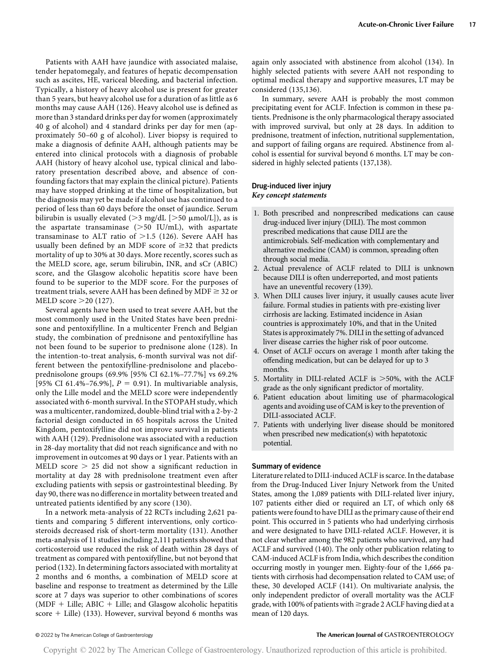Patients with AAH have jaundice with associated malaise, tender hepatomegaly, and features of hepatic decompensation such as ascites, HE, variceal bleeding, and bacterial infection. Typically, a history of heavy alcohol use is present for greater than 5 years, but heavy alcohol use for a duration of as little as 6 months may cause AAH (126). Heavy alcohol use is defined as more than 3 standard drinks per day for women (approximately 40 g of alcohol) and 4 standard drinks per day for men (approximately 50–60 g of alcohol). Liver biopsy is required to make a diagnosis of definite AAH, although patients may be entered into clinical protocols with a diagnosis of probable AAH (history of heavy alcohol use, typical clinical and laboratory presentation described above, and absence of confounding factors that may explain the clinical picture). Patients may have stopped drinking at the time of hospitalization, but the diagnosis may yet be made if alcohol use has continued to a period of less than 60 days before the onset of jaundice. Serum bilirubin is usually elevated ( $>$ 3 mg/dL [ $>$ 50  $\mu$ mol/L]), as is the aspartate transaminase  $(>50$  IU/mL), with aspartate transaminase to ALT ratio of  $>1.5$  (126). Severe AAH has usually been defined by an MDF score of  $\geq$ 32 that predicts mortality of up to 30% at 30 days. More recently, scores such as the MELD score, age, serum bilirubin, INR, and sCr (ABIC) score, and the Glasgow alcoholic hepatitis score have been found to be superior to the MDF score. For the purposes of treatment trials, severe AAH has been defined by  $MDF \geq 32$  or MELD score  $>20$  (127).

Several agents have been used to treat severe AAH, but the most commonly used in the United States have been prednisone and pentoxifylline. In a multicenter French and Belgian study, the combination of prednisone and pentoxifylline has not been found to be superior to prednisone alone (128). In the intention-to-treat analysis, 6-month survival was not different between the pentoxifylline-prednisolone and placeboprednisolone groups (69.9% [95% CI 62.1%–77.7%] vs 69.2% [95% CI 61.4%-76.9%],  $P = 0.91$ ). In multivariable analysis, only the Lille model and the MELD score were independently associated with 6-month survival. In the STOPAH study, which was a multicenter, randomized, double-blind trial with a 2-by-2 factorial design conducted in 65 hospitals across the United Kingdom, pentoxifylline did not improve survival in patients with AAH (129). Prednisolone was associated with a reduction in 28-day mortality that did not reach significance and with no improvement in outcomes at 90 days or 1 year. Patients with an MELD score  $> 25$  did not show a significant reduction in mortality at day 28 with prednisolone treatment even after excluding patients with sepsis or gastrointestinal bleeding. By day 90, there was no difference in mortality between treated and untreated patients identified by any score (130).

In a network meta-analysis of 22 RCTs including 2,621 patients and comparing 5 different interventions, only corticosteroids decreased risk of short-term mortality (131). Another meta-analysis of 11 studies including 2,111 patients showed that corticosteroid use reduced the risk of death within 28 days of treatment as compared with pentoxifylline, but not beyond that period (132). In determining factors associated with mortality at 2 months and 6 months, a combination of MELD score at baseline and response to treatment as determined by the Lille score at 7 days was superior to other combinations of scores  $(MDF + Lille; ABIC + Lille; and Glasgow alcoholic hepatitis)$ score  $+$  Lille) (133). However, survival beyond 6 months was again only associated with abstinence from alcohol (134). In highly selected patients with severe AAH not responding to optimal medical therapy and supportive measures, LT may be considered (135,136).

In summary, severe AAH is probably the most common precipitating event for ACLF. Infection is common in these patients. Prednisone is the only pharmacological therapy associated with improved survival, but only at 28 days. In addition to prednisone, treatment of infection, nutritional supplementation, and support of failing organs are required. Abstinence from alcohol is essential for survival beyond 6 months. LT may be considered in highly selected patients (137,138).

# Drug-induced liver injury Key concept statements

- 1. Both prescribed and nonprescribed medications can cause drug-induced liver injury (DILI). The most common prescribed medications that cause DILI are the antimicrobials. Self-medication with complementary and alternative medicine (CAM) is common, spreading often through social media.
- 2. Actual prevalence of ACLF related to DILI is unknown because DILI is often underreported, and most patients have an uneventful recovery (139).
- 3. When DILI causes liver injury, it usually causes acute liver failure. Formal studies in patients with pre-existing liver cirrhosis are lacking. Estimated incidence in Asian countries is approximately 10%, and that in the United States is approximately 7%. DILI in the setting of advanced liver disease carries the higher risk of poor outcome.
- 4. Onset of ACLF occurs on average 1 month after taking the offending medication, but can be delayed for up to 3 months.
- 5. Mortality in DILI-related ACLF is  $>50\%$ , with the ACLF grade as the only significant predictor of mortality.
- 6. Patient education about limiting use of pharmacological agents and avoiding use of CAM is key to the prevention of DILI-associated ACLF.
- 7. Patients with underlying liver disease should be monitored when prescribed new medication(s) with hepatotoxic potential.

### Summary of evidence

Literature related to DILI-induced ACLF is scarce. In the database from the Drug-Induced Liver Injury Network from the United States, among the 1,089 patients with DILI-related liver injury, 107 patients either died or required an LT, of which only 68 patients were found to have DILI as the primary cause of their end point. This occurred in 5 patients who had underlying cirrhosis and were designated to have DILI-related ACLF. However, it is not clear whether among the 982 patients who survived, any had ACLF and survived (140). The only other publication relating to CAM-induced ACLF is from India, which describes the condition occurring mostly in younger men. Eighty-four of the 1,666 patients with cirrhosis had decompensation related to CAM use; of these, 30 developed ACLF (141). On multivariate analysis, the only independent predictor of overall mortality was the ACLF grade, with 100% of patients with  $\geq$ grade 2 ACLF having died at a mean of 120 days.

# © 2022 by The American College of Gastroenterology The American Journal of GASTROENTEROLOGY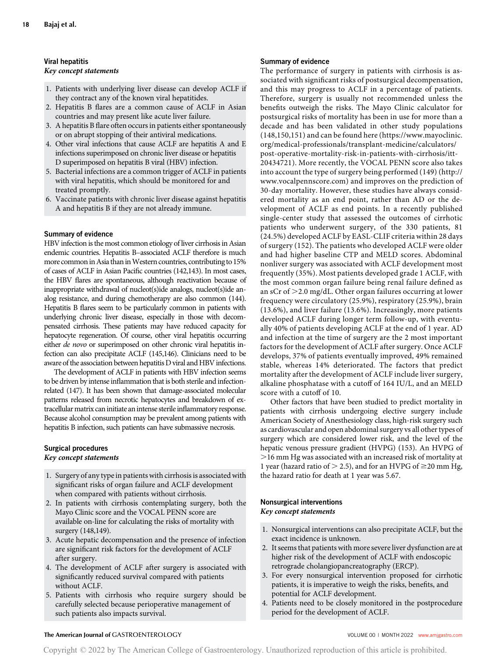# Viral hepatitis Key concept statements

- 1. Patients with underlying liver disease can develop ACLF if they contract any of the known viral hepatitides.
- 2. Hepatitis B flares are a common cause of ACLF in Asian countries and may present like acute liver failure.
- 3. A hepatitis B flare often occurs in patients either spontaneously or on abrupt stopping of their antiviral medications.
- 4. Other viral infections that cause ACLF are hepatitis A and E infections superimposed on chronic liver disease or hepatitis D superimposed on hepatitis B viral (HBV) infection.
- 5. Bacterial infections are a common trigger of ACLF in patients with viral hepatitis, which should be monitored for and treated promptly.
- 6. Vaccinate patients with chronic liver disease against hepatitis A and hepatitis B if they are not already immune.

# Summary of evidence

HBV infection is the most common etiology of liver cirrhosis in Asian endemic countries. Hepatitis B–associated ACLF therefore is much more common in Asia than in Western countries, contributing to 15% of cases of ACLF in Asian Pacific countries (142,143). In most cases, the HBV flares are spontaneous, although reactivation because of inappropriate withdrawal of nucleot(s)ide analogs, nucleot(s)ide analog resistance, and during chemotherapy are also common (144). Hepatitis B flares seem to be particularly common in patients with underlying chronic liver disease, especially in those with decompensated cirrhosis. These patients may have reduced capacity for hepatocyte regeneration. Of course, other viral hepatitis occurring either de novo or superimposed on other chronic viral hepatitis infection can also precipitate ACLF (145,146). Clinicians need to be aware of the association between hepatitis D viral and HBV infections.

The development of ACLF in patients with HBV infection seems to be driven by intense inflammation that is both sterile and infectionrelated (147). It has been shown that damage-associated molecular patterns released from necrotic hepatocytes and breakdown of extracellular matrix can initiate an intense sterile inflammatory response. Because alcohol consumption may be prevalent among patients with hepatitis B infection, such patients can have submassive necrosis.

#### Surgical procedures Key concept statements

- 1. Surgery of any type in patients with cirrhosis is associated with significant risks of organ failure and ACLF development when compared with patients without cirrhosis.
- 2. In patients with cirrhosis contemplating surgery, both the Mayo Clinic score and the VOCAL PENN score are available on-line for calculating the risks of mortality with surgery (148,149).
- 3. Acute hepatic decompensation and the presence of infection are significant risk factors for the development of ACLF after surgery.
- 4. The development of ACLF after surgery is associated with significantly reduced survival compared with patients without ACLF.
- 5. Patients with cirrhosis who require surgery should be carefully selected because perioperative management of such patients also impacts survival.

# Summary of evidence

The performance of surgery in patients with cirrhosis is associated with significant risks of postsurgical decompensation, and this may progress to ACLF in a percentage of patients. Therefore, surgery is usually not recommended unless the benefits outweigh the risks. The Mayo Clinic calculator for postsurgical risks of mortality has been in use for more than a decade and has been validated in other study populations (148,150,151) and can be found here ([https://www.mayoclinic.](https://www.mayoclinic.org/medical-professionals/transplant-medicine/calculators/post-operative-mortality-risk-in-patients-with-cirrhosis/itt-20434721) [org/medical-professionals/transplant-medicine/calculators/](https://www.mayoclinic.org/medical-professionals/transplant-medicine/calculators/post-operative-mortality-risk-in-patients-with-cirrhosis/itt-20434721) [post-operative-mortality-risk-in-patients-with-cirrhosis/itt-](https://www.mayoclinic.org/medical-professionals/transplant-medicine/calculators/post-operative-mortality-risk-in-patients-with-cirrhosis/itt-20434721)[20434721](https://www.mayoclinic.org/medical-professionals/transplant-medicine/calculators/post-operative-mortality-risk-in-patients-with-cirrhosis/itt-20434721)). More recently, the VOCAL PENN score also takes into account the type of surgery being performed (149) ([http://](http://www.vocalpennscore.com/) [www.vocalpennscore.com\)](http://www.vocalpennscore.com/) and improves on the prediction of 30-day mortality. However, these studies have always considered mortality as an end point, rather than AD or the development of ACLF as end points. In a recently published single-center study that assessed the outcomes of cirrhotic patients who underwent surgery, of the 330 patients, 81 (24.5%) developed ACLF by EASL-CLIF criteria within 28 days of surgery (152). The patients who developed ACLF were older and had higher baseline CTP and MELD scores. Abdominal nonliver surgery was associated with ACLF development most frequently (35%). Most patients developed grade 1 ACLF, with the most common organ failure being renal failure defined as an sCr of  $\geq$  2.0 mg/dL. Other organ failures occurring at lower frequency were circulatory (25.9%), respiratory (25.9%), brain (13.6%), and liver failure (13.6%). Increasingly, more patients developed ACLF during longer term follow-up, with eventually 40% of patients developing ACLF at the end of 1 year. AD and infection at the time of surgery are the 2 most important factors for the development of ACLF after surgery. Once ACLF develops, 37% of patients eventually improved, 49% remained stable, whereas 14% deteriorated. The factors that predict mortality after the development of ACLF include liver surgery, alkaline phosphatase with a cutoff of 164 IU/L, and an MELD score with a cutoff of 10.

Other factors that have been studied to predict mortality in patients with cirrhosis undergoing elective surgery include American Society of Anesthesiology class, high-risk surgery such as cardiovascular and open abdominal surgery vs all other types of surgery which are considered lower risk, and the level of the hepatic venous pressure gradient (HVPG) (153). An HVPG of .16 mm Hg was associated with an increased risk of mortality at 1 year (hazard ratio of  $>$  2.5), and for an HVPG of  $\geq$ 20 mm Hg, the hazard ratio for death at 1 year was 5.67.

# Nonsurgical interventions Key concept statements

- 1. Nonsurgical interventions can also precipitate ACLF, but the exact incidence is unknown.
- 2. It seems that patients with more severe liver dysfunction are at higher risk of the development of ACLF with endoscopic retrograde cholangiopancreatography (ERCP).
- 3. For every nonsurgical intervention proposed for cirrhotic patients, it is imperative to weigh the risks, benefits, and potential for ACLF development.
- 4. Patients need to be closely monitored in the postprocedure period for the development of ACLF.

# The American Journal of GASTROENTEROLOGY **Annual American Journal of GASTROENTEROLOGY VOLUME 00 | MONTH 2022** [www.amjgastro.com](http://www.amjgastro.com)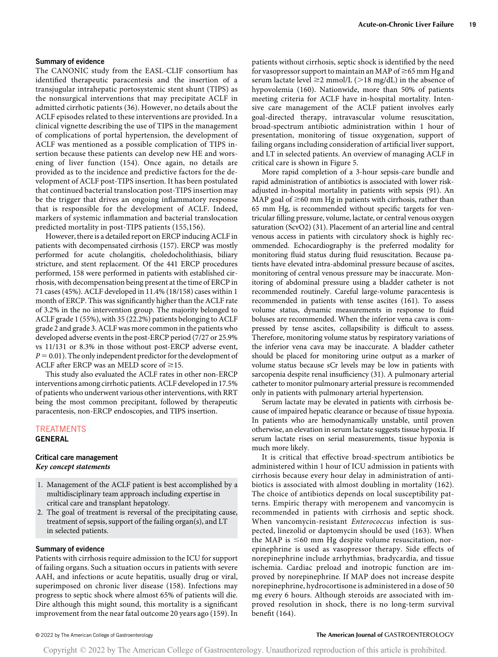#### Summary of evidence

The CANONIC study from the EASL-CLIF consortium has identified therapeutic paracentesis and the insertion of a transjugular intrahepatic portosystemic stent shunt (TIPS) as the nonsurgical interventions that may precipitate ACLF in admitted cirrhotic patients (36). However, no details about the ACLF episodes related to these interventions are provided. In a clinical vignette describing the use of TIPS in the management of complications of portal hypertension, the development of ACLF was mentioned as a possible complication of TIPS insertion because these patients can develop new HE and worsening of liver function (154). Once again, no details are provided as to the incidence and predictive factors for the development of ACLF post-TIPS insertion. It has been postulated that continued bacterial translocation post-TIPS insertion may be the trigger that drives an ongoing inflammatory response that is responsible for the development of ACLF. Indeed, markers of systemic inflammation and bacterial translocation predicted mortality in post-TIPS patients (155,156).

However, there is a detailed report on ERCP inducing ACLF in patients with decompensated cirrhosis (157). ERCP was mostly performed for acute cholangitis, choledocholithiasis, biliary stricture, and stent replacement. Of the 441 ERCP procedures performed, 158 were performed in patients with established cirrhosis, with decompensation being present at the time of ERCP in 71 cases (45%). ACLF developed in 11.4% (18/158) cases within 1 month of ERCP. This was significantly higher than the ACLF rate of 3.2% in the no intervention group. The majority belonged to ACLF grade 1 (55%), with 35 (22.2%) patients belonging to ACLF grade 2 and grade 3. ACLF was more common in the patients who developed adverse events in the post-ERCP period (7/27 or 25.9% vs 11/131 or 8.3% in those without post-ERCP adverse event,  $P = 0.01$ ). The only independent predictor for the development of ACLF after ERCP was an MELD score of  $\geq$ 15.

This study also evaluated the ACLF rates in other non-ERCP interventions among cirrhotic patients. ACLF developed in 17.5% of patients who underwent various other interventions, with RRT being the most common precipitant, followed by therapeutic paracentesis, non-ERCP endoscopies, and TIPS insertion.

# TREATMENTS GENERAL

### Critical care management Key concept statements

- 1. Management of the ACLF patient is best accomplished by a multidisciplinary team approach including expertise in critical care and transplant hepatology.
- 2. The goal of treatment is reversal of the precipitating cause, treatment of sepsis, support of the failing organ(s), and LT in selected patients.

#### Summary of evidence

Patients with cirrhosis require admission to the ICU for support of failing organs. Such a situation occurs in patients with severe AAH, and infections or acute hepatitis, usually drug or viral, superimposed on chronic liver disease (158). Infections may progress to septic shock where almost 65% of patients will die. Dire although this might sound, this mortality is a significant improvement from the near fatal outcome 20 years ago (159). In patients without cirrhosis, septic shock is identified by the need for vasopressor support to maintain an MAP of  $\geq$  65 mm Hg and serum lactate level  $\geq$  mmol/L ( $>$ 18 mg/dL) in the absence of hypovolemia (160). Nationwide, more than 50% of patients meeting criteria for ACLF have in-hospital mortality. Intensive care management of the ACLF patient involves early goal-directed therapy, intravascular volume resuscitation, broad-spectrum antibiotic administration within 1 hour of presentation, monitoring of tissue oxygenation, support of failing organs including consideration of artificial liver support, and LT in selected patients. An overview of managing ACLF in critical care is shown in Figure 5.

More rapid completion of a 3-hour sepsis-care bundle and rapid administration of antibiotics is associated with lower riskadjusted in-hospital mortality in patients with sepsis (91). An MAP goal of  $\geq$ 60 mm Hg in patients with cirrhosis, rather than 65 mm Hg, is recommended without specific targets for ventricular filling pressure, volume, lactate, or central venous oxygen saturation (ScvO2) (31). Placement of an arterial line and central venous access in patients with circulatory shock is highly recommended. Echocardiography is the preferred modality for monitoring fluid status during fluid resuscitation. Because patients have elevated intra-abdominal pressure because of ascites, monitoring of central venous pressure may be inaccurate. Monitoring of abdominal pressure using a bladder catheter is not recommended routinely. Careful large-volume paracentesis is recommended in patients with tense ascites (161). To assess volume status, dynamic measurements in response to fluid boluses are recommended. When the inferior vena cava is compressed by tense ascites, collapsibility is difficult to assess. Therefore, monitoring volume status by respiratory variations of the inferior vena cava may be inaccurate. A bladder catheter should be placed for monitoring urine output as a marker of volume status because sCr levels may be low in patients with sarcopenia despite renal insufficiency (31). A pulmonary arterial catheter to monitor pulmonary arterial pressure is recommended only in patients with pulmonary arterial hypertension.

Serum lactate may be elevated in patients with cirrhosis because of impaired hepatic clearance or because of tissue hypoxia. In patients who are hemodynamically unstable, until proven otherwise, an elevation in serum lactate suggests tissue hypoxia. If serum lactate rises on serial measurements, tissue hypoxia is much more likely.

It is critical that effective broad-spectrum antibiotics be administered within 1 hour of ICU admission in patients with cirrhosis because every hour delay in administration of antibiotics is associated with almost doubling in mortality (162). The choice of antibiotics depends on local susceptibility patterns. Empiric therapy with meropenem and vancomycin is recommended in patients with cirrhosis and septic shock. When vancomycin-resistant Enterococcus infection is suspected, linezolid or daptomycin should be used (163). When the MAP is  $\leq 60$  mm Hg despite volume resuscitation, norepinephrine is used as vasopressor therapy. Side effects of norepinephrine include arrhythmias, bradycardia, and tissue ischemia. Cardiac preload and inotropic function are improved by norepinephrine. If MAP does not increase despite norepinephrine, hydrocortisone is administered in a dose of 50 mg every 6 hours. Although steroids are associated with improved resolution in shock, there is no long-term survival benefit (164).

### © 2022 by The American College of Gastroenterology The American Journal of GASTROENTEROLOGY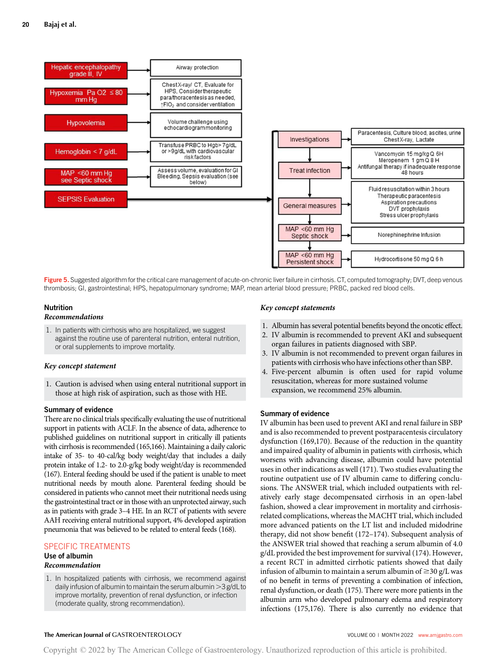

Figure 5. Suggested algorithm for the critical care management of acute-on-chronic liver failure in cirrhosis. CT, computed tomography; DVT, deep venous thrombosis; GI, gastrointestinal; HPS, hepatopulmonary syndrome; MAP, mean arterial blood pressure; PRBC, packed red blood cells.

#### Nutrition

## Recommendations

1. In patients with cirrhosis who are hospitalized, we suggest against the routine use of parenteral nutrition, enteral nutrition, or oral supplements to improve mortality.

#### Key concept statement

1. Caution is advised when using enteral nutritional support in those at high risk of aspiration, such as those with HE.

# Summary of evidence

There are no clinical trials specifically evaluating the use of nutritional support in patients with ACLF. In the absence of data, adherence to published guidelines on nutritional support in critically ill patients with cirrhosis is recommended (165,166). Maintaining a daily caloric intake of 35- to 40-cal/kg body weight/day that includes a daily protein intake of 1.2- to 2.0-g/kg body weight/day is recommended (167). Enteral feeding should be used if the patient is unable to meet nutritional needs by mouth alone. Parenteral feeding should be considered in patients who cannot meet their nutritional needs using the gastrointestinal tract or in those with an unprotected airway, such as in patients with grade 3–4 HE. In an RCT of patients with severe AAH receiving enteral nutritional support, 4% developed aspiration pneumonia that was believed to be related to enteral feeds (168).

# SPECIFIC TREATMENTS

# Use of albumin

# Recommendation

1. In hospitalized patients with cirrhosis, we recommend against daily infusion of albumin to maintain the serum albumin  $>3$  g/dL to improve mortality, prevention of renal dysfunction, or infection (moderate quality, strong recommendation).

#### Key concept statements

- 1. Albumin has several potential benefits beyond the oncotic effect.
- 2. IV albumin is recommended to prevent AKI and subsequent organ failures in patients diagnosed with SBP.
- 3. IV albumin is not recommended to prevent organ failures in patients with cirrhosis who have infections other than SBP.
- 4. Five-percent albumin is often used for rapid volume resuscitation, whereas for more sustained volume expansion, we recommend 25% albumin.

#### Summary of evidence

IV albumin has been used to prevent AKI and renal failure in SBP and is also recommended to prevent postparacentesis circulatory dysfunction (169,170). Because of the reduction in the quantity and impaired quality of albumin in patients with cirrhosis, which worsens with advancing disease, albumin could have potential uses in other indications as well (171). Two studies evaluating the routine outpatient use of IV albumin came to differing conclusions. The ANSWER trial, which included outpatients with relatively early stage decompensated cirrhosis in an open-label fashion, showed a clear improvement in mortality and cirrhosisrelated complications, whereas the MACHT trial, which included more advanced patients on the LT list and included midodrine therapy, did not show benefit (172–174). Subsequent analysis of the ANSWER trial showed that reaching a serum albumin of 4.0 g/dL provided the best improvement for survival (174). However, a recent RCT in admitted cirrhotic patients showed that daily infusion of albumin to maintain a serum albumin of  $\geq$ 30 g/L was of no benefit in terms of preventing a combination of infection, renal dysfunction, or death (175). There were more patients in the albumin arm who developed pulmonary edema and respiratory infections (175,176). There is also currently no evidence that

#### The American Journal of GASTROENTEROLOGY **Volume 1999** VOLUME 00 | MONTH 2022 www.amigastro.com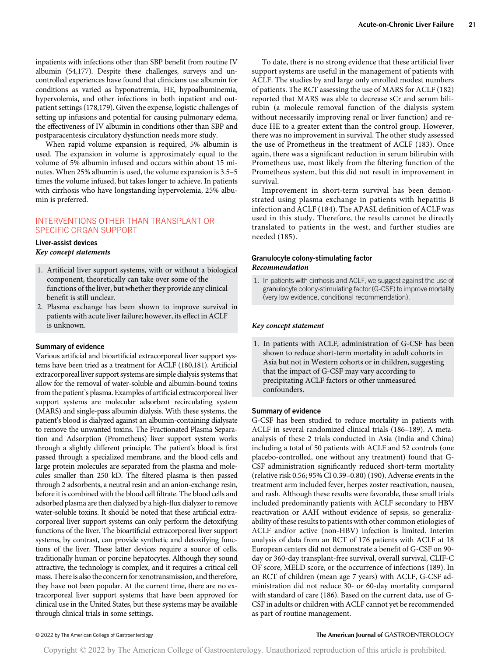inpatients with infections other than SBP benefit from routine IV albumin (54,177). Despite these challenges, surveys and uncontrolled experiences have found that clinicians use albumin for conditions as varied as hyponatremia, HE, hypoalbuminemia, hypervolemia, and other infections in both inpatient and outpatient settings (178,179). Given the expense, logistic challenges of setting up infusions and potential for causing pulmonary edema, the effectiveness of IV albumin in conditions other than SBP and postparacentesis circulatory dysfunction needs more study.

When rapid volume expansion is required, 5% albumin is used. The expansion in volume is approximately equal to the volume of 5% albumin infused and occurs within about 15 minutes. When 25% albumin is used, the volume expansion is 3.5–5 times the volume infused, but takes longer to achieve. In patients with cirrhosis who have longstanding hypervolemia, 25% albumin is preferred.

# INTERVENTIONS OTHER THAN TRANSPLANT OR SPECIFIC ORGAN SUPPORT

### Liver-assist devices Key concept statements

- 1. Artificial liver support systems, with or without a biological component, theoretically can take over some of the functions of the liver, but whether they provide any clinical benefit is still unclear.
- 2. Plasma exchange has been shown to improve survival in patients with acute liver failure; however, its effect in ACLF is unknown.

# Summary of evidence

Various artificial and bioartificial extracorporeal liver support systems have been tried as a treatment for ACLF (180,181). Artificial extracorporeal liver support systems are simple dialysis systems that allow for the removal of water-soluble and albumin-bound toxins from the patient's plasma. Examples of artificial extracorporeal liver support systems are molecular adsorbent recirculating system (MARS) and single-pass albumin dialysis. With these systems, the patient's blood is dialyzed against an albumin-containing dialysate to remove the unwanted toxins. The Fractionated Plasma Separation and Adsorption (Prometheus) liver support system works through a slightly different principle. The patient's blood is first passed through a specialized membrane, and the blood cells and large protein molecules are separated from the plasma and molecules smaller than 250 kD. The filtered plasma is then passed through 2 adsorbents, a neutral resin and an anion-exchange resin, before it is combined with the blood cell filtrate. The blood cells and adsorbed plasma are then dialyzed by a high-flux dialyzer to remove water-soluble toxins. It should be noted that these artificial extracorporeal liver support systems can only perform the detoxifying functions of the liver. The bioartificial extracorporeal liver support systems, by contrast, can provide synthetic and detoxifying functions of the liver. These latter devices require a source of cells, traditionally human or porcine hepatocytes. Although they sound attractive, the technology is complex, and it requires a critical cell mass. There is also the concern for xenotransmission, and therefore, they have not been popular. At the current time, there are no extracorporeal liver support systems that have been approved for clinical use in the United States, but these systems may be available through clinical trials in some settings.

To date, there is no strong evidence that these artificial liver support systems are useful in the management of patients with ACLF. The studies by and large only enrolled modest numbers of patients. The RCT assessing the use of MARS for ACLF (182) reported that MARS was able to decrease sCr and serum bilirubin (a molecule removal function of the dialysis system without necessarily improving renal or liver function) and reduce HE to a greater extent than the control group. However, there was no improvement in survival. The other study assessed the use of Prometheus in the treatment of ACLF (183). Once again, there was a significant reduction in serum bilirubin with Prometheus use, most likely from the filtering function of the Prometheus system, but this did not result in improvement in survival.

Improvement in short-term survival has been demonstrated using plasma exchange in patients with hepatitis B infection and ACLF (184). The APASL definition of ACLF was used in this study. Therefore, the results cannot be directly translated to patients in the west, and further studies are needed (185).

# Granulocyte colony-stimulating factor Recommendation

1. In patients with cirrhosis and ACLF, we suggest against the use of granulocyte colony-stimulating factor (G-CSF) to improve mortality (very low evidence, conditional recommendation).

# Key concept statement

1. In patients with ACLF, administration of G-CSF has been shown to reduce short-term mortality in adult cohorts in Asia but not in Western cohorts or in children, suggesting that the impact of G-CSF may vary according to precipitating ACLF factors or other unmeasured confounders.

#### Summary of evidence

G-CSF has been studied to reduce mortality in patients with ACLF in several randomized clinical trials (186–189). A metaanalysis of these 2 trials conducted in Asia (India and China) including a total of 50 patients with ACLF and 52 controls (one placebo-controlled, one without any treatment) found that G-CSF administration significantly reduced short-term mortality (relative risk 0.56; 95% CI 0.39–0.80) (190). Adverse events in the treatment arm included fever, herpes zoster reactivation, nausea, and rash. Although these results were favorable, these small trials included predominantly patients with ACLF secondary to HBV reactivation or AAH without evidence of sepsis, so generalizability of these results to patients with other common etiologies of ACLF and/or active (non-HBV) infection is limited. Interim analysis of data from an RCT of 176 patients with ACLF at 18 European centers did not demonstrate a benefit of G-CSF on 90 day or 360-day transplant-free survival, overall survival, CLIF-C OF score, MELD score, or the occurrence of infections (189). In an RCT of children (mean age 7 years) with ACLF, G-CSF administration did not reduce 30- or 60-day mortality compared with standard of care (186). Based on the current data, use of G-CSF in adults or children with ACLF cannot yet be recommended as part of routine management.

# © 2022 by The American College of Gastroenterology The American Journal of GASTROENTEROLOGY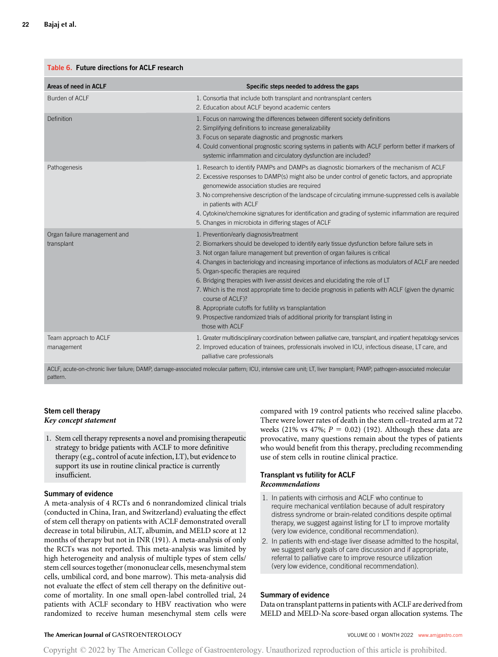#### Table 6. Future directions for ACLF research

| Areas of need in ACLF                      | Specific steps needed to address the gaps                                                                                                                                                                                                                                                                                                                                                                                                                                                                                                                                                                                                                                                                                                                 |
|--------------------------------------------|-----------------------------------------------------------------------------------------------------------------------------------------------------------------------------------------------------------------------------------------------------------------------------------------------------------------------------------------------------------------------------------------------------------------------------------------------------------------------------------------------------------------------------------------------------------------------------------------------------------------------------------------------------------------------------------------------------------------------------------------------------------|
| Burden of ACLF                             | 1. Consortia that include both transplant and nontransplant centers<br>2. Education about ACLF beyond academic centers                                                                                                                                                                                                                                                                                                                                                                                                                                                                                                                                                                                                                                    |
| Definition                                 | 1. Focus on narrowing the differences between different society definitions<br>2. Simplifying definitions to increase generalizability<br>3. Focus on separate diagnostic and prognostic markers<br>4. Could conventional prognostic scoring systems in patients with ACLF perform better if markers of<br>systemic inflammation and circulatory dysfunction are included?                                                                                                                                                                                                                                                                                                                                                                                |
| Pathogenesis                               | 1. Research to identify PAMPs and DAMPs as diagnostic biomarkers of the mechanism of ACLF<br>2. Excessive responses to DAMP(s) might also be under control of genetic factors, and appropriate<br>genomewide association studies are required<br>3. No comprehensive description of the landscape of circulating immune-suppressed cells is available<br>in patients with ACLF<br>4. Cytokine/chemokine signatures for identification and grading of systemic inflammation are required<br>5. Changes in microbiota in differing stages of ACLF                                                                                                                                                                                                           |
| Organ failure management and<br>transplant | 1. Prevention/early diagnosis/treatment<br>2. Biomarkers should be developed to identify early tissue dysfunction before failure sets in<br>3. Not organ failure management but prevention of organ failures is critical<br>4. Changes in bacteriology and increasing importance of infections as modulators of ACLF are needed<br>5. Organ-specific therapies are required<br>6. Bridging therapies with liver-assist devices and elucidating the role of LT<br>7. Which is the most appropriate time to decide prognosis in patients with ACLF (given the dynamic<br>course of ACLF)?<br>8. Appropriate cutoffs for futility vs transplantation<br>9. Prospective randomized trials of additional priority for transplant listing in<br>those with ACLF |
| Team approach to ACLF<br>management        | 1. Greater multidisciplinary coordination between palliative care, transplant, and inpatient hepatology services<br>2. Improved education of trainees, professionals involved in ICU, infectious disease, LT care, and<br>palliative care professionals                                                                                                                                                                                                                                                                                                                                                                                                                                                                                                   |
|                                            | ACLE acute on chronic liver failure: DAMP damage accociated molecular pattern: ICLL intensive care unit: IT liver transplant: PAMP pathogen accociated molecular                                                                                                                                                                                                                                                                                                                                                                                                                                                                                                                                                                                          |

ACLF, acute-on-chronic liver failure; DAMP, damage-associated molecular pattern; ICU, intensive care unit; LT, liver transplant; PAMP, pathogen-associated molecular pattern.

# Stem cell therapy Key concept statement

1. Stem cell therapy represents a novel and promising therapeutic strategy to bridge patients with ACLF to more definitive therapy (e.g., control of acute infection, LT), but evidence to support its use in routine clinical practice is currently insufficient.

# Summary of evidence

A meta-analysis of 4 RCTs and 6 nonrandomized clinical trials (conducted in China, Iran, and Switzerland) evaluating the effect of stem cell therapy on patients with ACLF demonstrated overall decrease in total bilirubin, ALT, albumin, and MELD score at 12 months of therapy but not in INR (191). A meta-analysis of only the RCTs was not reported. This meta-analysis was limited by high heterogeneity and analysis of multiple types of stem cells/ stem cell sources together (mononuclear cells, mesenchymal stem cells, umbilical cord, and bone marrow). This meta-analysis did not evaluate the effect of stem cell therapy on the definitive outcome of mortality. In one small open-label controlled trial, 24 patients with ACLF secondary to HBV reactivation who were randomized to receive human mesenchymal stem cells were compared with 19 control patients who received saline placebo. There were lower rates of death in the stem cell–treated arm at 72 weeks (21% vs 47%;  $P = 0.02$ ) (192). Although these data are provocative, many questions remain about the types of patients who would benefit from this therapy, precluding recommending use of stem cells in routine clinical practice.

# Transplant vs futility for ACLF Recommendations

- 1. In patients with cirrhosis and ACLF who continue to require mechanical ventilation because of adult respiratory distress syndrome or brain-related conditions despite optimal therapy, we suggest against listing for LT to improve mortality (very low evidence, conditional recommendation).
- 2. In patients with end-stage liver disease admitted to the hospital, we suggest early goals of care discussion and if appropriate, referral to palliative care to improve resource utilization (very low evidence, conditional recommendation).

#### Summary of evidence

Data on transplant patterns in patients with ACLF are derived from MELD and MELD-Na score-based organ allocation systems. The

# The American Journal of GASTROENTEROLOGY **Annual American Journal of GASTROENTEROLOGY VOLUME 00 | MONTH 2022** www.amigastro.com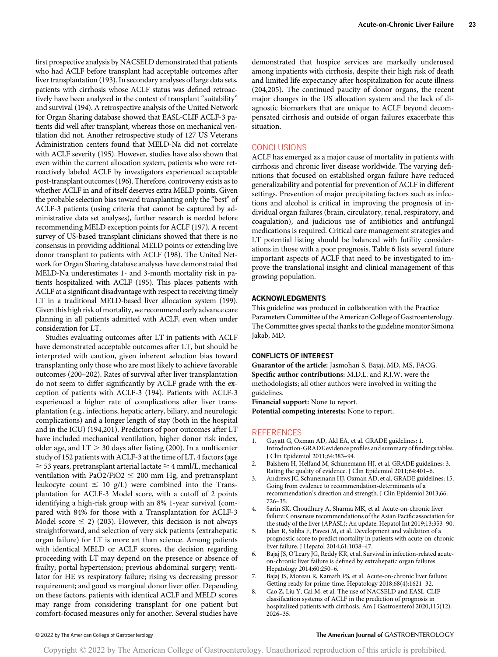first prospective analysis by NACSELD demonstrated that patients who had ACLF before transplant had acceptable outcomes after liver transplantation (193). In secondary analyses of large data sets, patients with cirrhosis whose ACLF status was defined retroactively have been analyzed in the context of transplant "suitability" and survival (194). A retrospective analysis of the United Network for Organ Sharing database showed that EASL-CLIF ACLF-3 patients did well after transplant, whereas those on mechanical ventilation did not. Another retrospective study of 127 US Veterans Administration centers found that MELD-Na did not correlate with ACLF severity (195). However, studies have also shown that even within the current allocation system, patients who were retroactively labeled ACLF by investigators experienced acceptable post-transplant outcomes (196). Therefore, controversy exists as to whether ACLF in and of itself deserves extra MELD points. Given the probable selection bias toward transplanting only the "best" of ACLF-3 patients (using criteria that cannot be captured by administrative data set analyses), further research is needed before recommending MELD exception points for ACLF (197). A recent survey of US-based transplant clinicians showed that there is no consensus in providing additional MELD points or extending live donor transplant to patients with ACLF (198). The United Network for Organ Sharing database analyses have demonstrated that MELD-Na underestimates 1- and 3-month mortality risk in patients hospitalized with ACLF (195). This places patients with ACLF at a significant disadvantage with respect to receiving timely LT in a traditional MELD-based liver allocation system (199). Given this high risk of mortality, we recommend early advance care planning in all patients admitted with ACLF, even when under consideration for LT.

Studies evaluating outcomes after LT in patients with ACLF have demonstrated acceptable outcomes after LT, but should be interpreted with caution, given inherent selection bias toward transplanting only those who are most likely to achieve favorable outcomes (200–202). Rates of survival after liver transplantation do not seem to differ significantly by ACLF grade with the exception of patients with ACLF-3 (194). Patients with ACLF-3 experienced a higher rate of complications after liver transplantation (e.g., infections, hepatic artery, biliary, and neurologic complications) and a longer length of stay (both in the hospital and in the ICU) (194,201). Predictors of poor outcomes after LT have included mechanical ventilation, higher donor risk index, older age, and  $LT > 30$  days after listing (200). In a multicenter study of 152 patients with ACLF-3 at the time of LT, 4 factors (age  $\geq$  53 years, pretransplant arterial lactate  $\geq$  4 mml/L, mechanical ventilation with PaO2/FiO2  $\leq$  200 mm Hg, and pretransplant leukocyte count  $\leq 10$  g/L) were combined into the Transplantation for ACLF-3 Model score, with a cutoff of 2 points identifying a high-risk group with an 8% 1-year survival (compared with 84% for those with a Transplantation for ACLF-3 Model score  $\leq$  2) (203). However, this decision is not always straightforward, and selection of very sick patients (extrahepatic organ failure) for LT is more art than science. Among patients with identical MELD or ACLF scores, the decision regarding proceeding with LT may depend on the presence or absence of frailty; portal hypertension; previous abdominal surgery; ventilator for HE vs respiratory failure; rising vs decreasing pressor requirement; and good vs marginal donor liver offer. Depending on these factors, patients with identical ACLF and MELD scores may range from considering transplant for one patient but comfort-focused measures only for another. Several studies have demonstrated that hospice services are markedly underused among inpatients with cirrhosis, despite their high risk of death and limited life expectancy after hospitalization for acute illness (204,205). The continued paucity of donor organs, the recent major changes in the US allocation system and the lack of diagnostic biomarkers that are unique to ACLF beyond decompensated cirrhosis and outside of organ failures exacerbate this situation.

# **CONCLUSIONS**

ACLF has emerged as a major cause of mortality in patients with cirrhosis and chronic liver disease worldwide. The varying definitions that focused on established organ failure have reduced generalizability and potential for prevention of ACLF in different settings. Prevention of major precipitating factors such as infections and alcohol is critical in improving the prognosis of individual organ failures (brain, circulatory, renal, respiratory, and coagulation), and judicious use of antibiotics and antifungal medications is required. Critical care management strategies and LT potential listing should be balanced with futility considerations in those with a poor prognosis. Table 6 lists several future important aspects of ACLF that need to be investigated to improve the translational insight and clinical management of this growing population.

# ACKNOWLEDGMENTS

This guideline was produced in collaboration with the Practice Parameters Committee of the American College of Gastroenterology. The Committee gives special thanks to the guideline monitor Simona Jakab, MD.

#### CONFLICTS OF INTEREST

Guarantor of the article: Jasmohan S. Bajaj, MD, MS, FACG. Specific author contributions: M.D.L. and R.J.W. were the methodologists; all other authors were involved in writing the guidelines.

Financial support: None to report. Potential competing interests: None to report.

#### **REFERENCES**

- 1. Guyatt G, Oxman AD, Akl EA, et al. GRADE guidelines: 1. Introduction-GRADE evidence profiles and summary of findings tables. J Clin Epidemiol 2011;64:383–94.
- 2. Balshem H, Helfand M, Schunemann HJ, et al. GRADE guidelines: 3. Rating the quality of evidence. J Clin Epidemiol 2011;64:401–6.
- 3. Andrews JC, Schunemann HJ, Oxman AD, et al. GRADE guidelines: 15. Going from evidence to recommendation-determinants of a recommendation's direction and strength. J Clin Epidemiol 2013;66: 726–35.
- 4. Sarin SK, Choudhury A, Sharma MK, et al. Acute-on-chronic liver failure: Consensus recommendations of the Asian Pacific association for the study of the liver (APASL): An update. Hepatol Int 2019;13:353–90.
- 5. Jalan R, Saliba F, Pavesi M, et al. Development and validation of a prognostic score to predict mortality in patients with acute-on-chronic liver failure. J Hepatol 2014;61:1038–47.
- Bajaj JS, O'Leary JG, Reddy KR, et al. Survival in infection-related acuteon-chronic liver failure is defined by extrahepatic organ failures. Hepatology 2014;60:250–6.
- 7. Bajaj JS, Moreau R, Kamath PS, et al. Acute-on-chronic liver failure: Getting ready for prime-time. Hepatology 2018;68(4):1621–32.
- 8. Cao Z, Liu Y, Cai M, et al. The use of NACSELD and EASL-CLIF classification systems of ACLF in the prediction of prognosis in hospitalized patients with cirrhosis. Am J Gastroenterol 2020;115(12): 2026–35.

#### © 2022 by The American College of Gastroenterology The American Journal of GASTROENTEROLOGY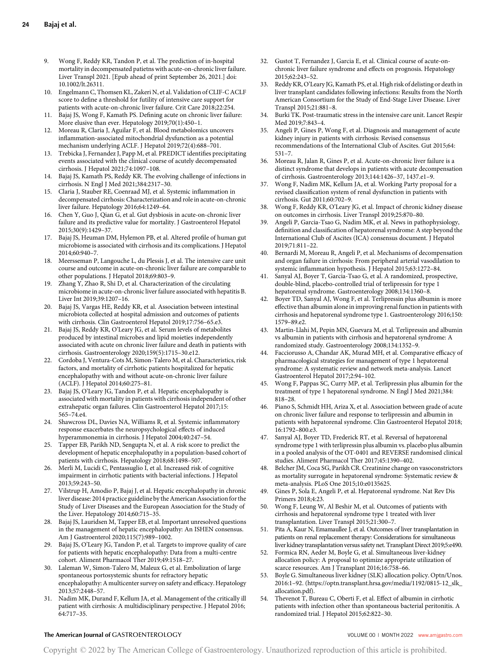- 9. Wong F, Reddy KR, Tandon P, et al. The prediction of in-hospital mortality in decompensated patietns with acute-on-chronic liver failure. Liver Transpl 2021. [Epub ahead of print September 26, 2021.] doi: 10.1002/lt.26311.
- 10. Engelmann C, Thomsen KL, Zakeri N, et al. Validation of CLIF-C ACLF score to define a threshold for futility of intensive care support for patients with acute-on-chronic liver failure. Crit Care 2018;22:254.
- 11. Bajaj JS, Wong F, Kamath PS. Defining acute on chronic liver failure: More elusive than ever. Hepatology 2019;70(1):450–1.
- 12. Moreau R, Claria J, Aguilar F, et al. Blood metabolomics uncovers inflammation-associated mitochondrial dysfunction as a potential mechanism underlying ACLF. J Hepatol 2019;72(4):688–701.
- 13. Trebicka J, Fernandez J, Papp M, et al. PREDICT identifies precipitating events associated with the clinical course of acutely decompensated cirrhosis. J Hepatol 2021;74:1097–108.
- 14. Bajaj JS, Kamath PS, Reddy KR. The evolving challenge of infections in cirrhosis. N Engl J Med 2021;384:2317–30.
- 15. Claria J, Stauber RE, Coenraad MJ, et al. Systemic inflammation in decompensated cirrhosis: Characterization and role in acute-on-chronic liver failure. Hepatology 2016;64:1249–64.
- 16. Chen Y, Guo J, Qian G, et al. Gut dysbiosis in acute-on-chronic liver failure and its predictive value for mortality. J Gastroenterol Hepatol 2015;30(9):1429–37.
- 17. Bajaj JS, Heuman DM, Hylemon PB, et al. Altered profile of human gut microbiome is associated with cirrhosis and its complications. J Hepatol 2014;60:940–7.
- 18. Meersseman P, Langouche L, du Plessis J, et al. The intensive care unit course and outcome in acute-on-chronic liver failure are comparable to other populations. J Hepatol 2018;69:803–9.
- 19. Zhang Y, Zhao R, Shi D, et al. Characterization of the circulating microbiome in acute-on-chronic liver failure associated with hepatitis B. Liver Int 2019;39:1207–16.
- 20. Bajaj JS, Vargas HE, Reddy KR, et al. Association between intestinal microbiota collected at hospital admission and outcomes of patients with cirrhosis. Clin Gastroenterol Hepatol 2019;17:756–65.e3.
- 21. Bajaj JS, Reddy KR, O'Leary JG, et al. Serum levels of metabolites produced by intestinal microbes and lipid moieties independently associated with acute on chronic liver failure and death in patients with cirrhosis. Gastroenterology 2020;159(5):1715–30.e12.
- 22. Cordoba J, Ventura-Cots M, Simon-Talero M, et al. Characteristics, risk factors, and mortality of cirrhotic patients hospitalized for hepatic encephalopathy with and without acute-on-chronic liver failure (ACLF). J Hepatol 2014;60:275–81.
- 23. Bajaj JS, O'Leary JG, Tandon P, et al. Hepatic encephalopathy is associated with mortality in patients with cirrhosis independent of other extrahepatic organ failures. Clin Gastroenterol Hepatol 2017;15: 565–74.e4.
- 24. Shawcross DL, Davies NA, Williams R, et al. Systemic inflammatory response exacerbates the neuropsychological effects of induced hyperammonemia in cirrhosis. J Hepatol 2004;40:247–54.
- 25. Tapper EB, Parikh ND, Sengupta N, et al. A risk score to predict the development of hepatic encephalopathy in a population-based cohort of patients with cirrhosis. Hepatology 2018;68:1498–507.
- 26. Merli M, Lucidi C, Pentassuglio I, et al. Increased risk of cognitive impairment in cirrhotic patients with bacterial infections. J Hepatol 2013;59:243–50.
- 27. Vilstrup H, Amodio P, Bajaj J, et al. Hepatic encephalopathy in chronic liver disease: 2014 practice guideline by the American Association for the Study of Liver Diseases and the European Association for the Study of the Liver. Hepatology 2014;60:715–35.
- 28. Bajaj JS, Lauridsen M, Tapper EB, et al. Important unresolved questions in the management of hepatic encephalopathy: An ISHEN consensus. Am J Gastroenterol 2020;115(7):989–1002.
- 29. Bajaj JS, O'Leary JG, Tandon P, et al. Targets to improve quality of care for patients with hepatic encephalopathy: Data from a multi-centre cohort. Aliment Pharmacol Ther 2019;49:1518–27.
- 30. Laleman W, Simon-Talero M, Maleux G, et al. Embolization of large spontaneous portosystemic shunts for refractory hepatic encephalopathy: A multicenter survey on safety and efficacy. Hepatology 2013;57:2448–57.
- 31. Nadim MK, Durand F, Kellum JA, et al. Management of the critically ill patient with cirrhosis: A multidisciplinary perspective. J Hepatol 2016; 64:717–35.
- 32. Gustot T, Fernandez J, Garcia E, et al. Clinical course of acute-onchronic liver failure syndrome and effects on prognosis. Hepatology 2015;62:243–52.
- 33. Reddy KR, O'Leary JG, Kamath PS, et al. High risk of delisting or death in liver transplant candidates following infections: Results from the North American Consortium for the Study of End-Stage Liver Disease. Liver Transpl 2015;21:881–8.
- 34. Burki TK. Post-traumatic stress in the intensive care unit. Lancet Respir Med 2019;7:843–4.
- 35. Angeli P, Gines P, Wong F, et al. Diagnosis and management of acute kidney injury in patients with cirrhosis: Revised consensus recommendations of the International Club of Ascites. Gut 2015;64: 531–7.
- 36. Moreau R, Jalan R, Gines P, et al. Acute-on-chronic liver failure is a distinct syndrome that develops in patients with acute decompensation of cirrhosis. Gastroenterology 2013;144:1426–37, 1437.e1–9.
- 37. Wong F, Nadim MK, Kellum JA, et al. Working Party proposal for a revised classification system of renal dysfunction in patients with cirrhosis. Gut 2011;60:702–9.
- 38. Wong F, Reddy KR, O'Leary JG, et al. Impact of chronic kidney disease on outcomes in cirrhosis. Liver Transpl 2019;25:870–80.
- Angeli P, Garcia-Tsao G, Nadim MK, et al. News in pathophysiology, definition and classification of hepatorenal syndrome: A step beyond the International Club of Ascites (ICA) consensus document. J Hepatol 2019;71:811–22.
- 40. Bernardi M, Moreau R, Angeli P, et al. Mechanisms of decompensation and organ failure in cirrhosis: From peripheral arterial vasodilation to systemic inflammation hypothesis. J Hepatol 2015;63:1272–84.
- 41. Sanyal AJ, Boyer T, Garcia-Tsao G, et al. A randomized, prospective, double-blind, placebo-controlled trial of terlipressin for type 1 hepatorenal syndrome. Gastroenterology 2008;134:1360–8.
- 42. Boyer TD, Sanyal AJ, Wong F, et al. Terlipressin plus albumin is more effective than albumin alone in improving renal function in patients with cirrhosis and hepatorenal syndrome type 1. Gastroenterology 2016;150: 1579–89.e2.
- 43. Martin-Llahi M, Pepin MN, Guevara M, et al. Terlipressin and albumin vs albumin in patients with cirrhosis and hepatorenal syndrome: A randomized study. Gastroenterology 2008;134:1352–9.
- 44. Facciorusso A, Chandar AK, Murad MH, et al. Comparative efficacy of pharmacological strategies for management of type 1 hepatorenal syndrome: A systematic review and network meta-analysis. Lancet Gastroenterol Hepatol 2017;2:94–102.
- 45. Wong F, Pappas SC, Curry MP, et al. Terlipressin plus albumin for the treatment of type 1 hepatorenal syndrome. N Engl J Med 2021;384: 818–28.
- Piano S, Schmidt HH, Ariza X, et al. Association between grade of acute on chronic liver failure and response to terlipressin and albumin in patients with hepatorenal syndrome. Clin Gastroenterol Hepatol 2018; 16:1792–800.e3.
- Sanyal AJ, Boyer TD, Frederick RT, et al. Reversal of hepatorenal syndrome type 1 with terlipressin plus albumin vs. placebo plus albumin in a pooled analysis of the OT-0401 and REVERSE randomised clinical studies. Aliment Pharmacol Ther 2017;45:1390–402.
- Belcher JM, Coca SG, Parikh CR. Creatinine change on vasoconstrictors as mortality surrogate in hepatorenal syndrome: Systematic review & meta-analysis. PLoS One 2015;10:e0135625.
- 49. Gines P, Sola E, Angeli P, et al. Hepatorenal syndrome. Nat Rev Dis Primers 2018;4:23.
- 50. Wong F, Leung W, Al Beshir M, et al. Outcomes of patients with cirrhosis and hepatorenal syndrome type 1 treated with liver transplantation. Liver Transpl 2015;21:300–7.
- 51. Pita A, Kaur N, Emamaullee J, et al. Outcomes of liver transplantation in patients on renal replacement therapy: Considerations for simultaneous liver kidney transplantation versus safety net. Transplant Direct 2019;5:e490.
- 52. Formica RN, Aeder M, Boyle G, et al. Simultaneous liver-kidney allocation policy: A proposal to optimize appropriate utilization of scarce resources. Am J Transplant 2016;16:758–66.
- 53. Boyle G. Simultaneous liver kidney (SLK) allocation policy. Optn/Unos. 2016:1–92. ([https://optn.transplant.hrsa.gov/media/1192/0815-12\\_slk\\_](https://optn.transplant.hrsa.gov/media/1192/0815-12_slk_allocation.pdf) [allocation.pdf](https://optn.transplant.hrsa.gov/media/1192/0815-12_slk_allocation.pdf)).
- 54. Thevenot T, Bureau C, Oberti F, et al. Effect of albumin in cirrhotic patients with infection other than spontaneous bacterial peritonitis. A randomized trial. J Hepatol 2015;62:822–30.

# The American Journal of GASTROENTEROLOGY **Annual American Journal of GASTROENTEROLOGY VOLUME 00 | MONTH 2022** [www.amjgastro.com](http://www.amjgastro.com)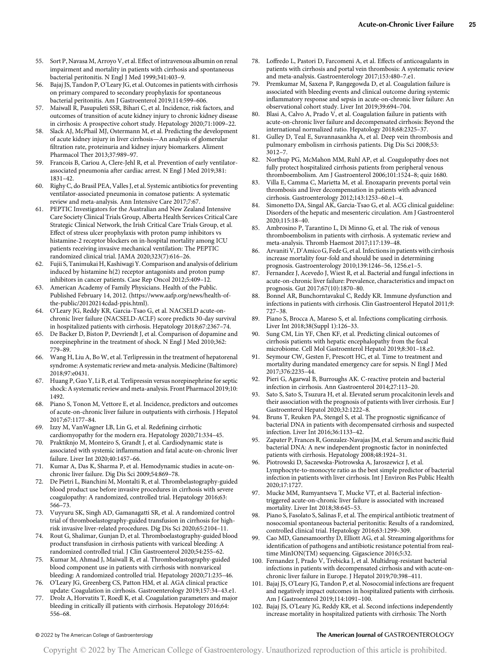- 55. Sort P, Navasa M, Arroyo V, et al. Effect of intravenous albumin on renal impairment and mortality in patients with cirrhosis and spontaneous bacterial peritonitis. N Engl J Med 1999;341:403–9.
- 56. Bajaj JS, Tandon P, O'Leary JG, et al. Outcomes in patients with cirrhosis on primary compared to secondary prophylaxis for spontaneous bacterial peritonitis. Am J Gastroenterol 2019;114:599–606.
- 57. Maiwall R, Pasupuleti SSR, Bihari C, et al. Incidence, risk factors, and outcomes of transition of acute kidney injury to chronic kidney disease in cirrhosis: A prospective cohort study. Hepatology 2020;71:1009–22.
- 58. Slack AJ, McPhail MJ, Ostermann M, et al. Predicting the development of acute kidney injury in liver cirrhosis—An analysis of glomerular filtration rate, proteinuria and kidney injury biomarkers. Aliment Pharmacol Ther 2013;37:989–97.
- 59. Francois B, Cariou A, Clere-Jehl R, et al. Prevention of early ventilatorassociated pneumonia after cardiac arrest. N Engl J Med 2019;381: 1831–42.
- 60. Righy C, do Brasil PEA, Valles J, et al. Systemic antibiotics for preventing ventilator-associated pneumonia in comatose patients: A systematic review and meta-analysis. Ann Intensive Care 2017;7:67.
- 61. PEPTIC Investigators for the Australian and New Zealand Intensive Care Society Clinical Trials Group, Alberta Health Services Critical Care Strategic Clinical Network, the Irish Critical Care Trials Group, et al. Effect of stress ulcer prophylaxis with proton pump inhibitors vs histamine-2 receptor blockers on in-hospital mortality among ICU patients receiving invasive mechanical ventilation: The PEPTIC randomized clinical trial. JAMA 2020;323(7):616–26.
- 62. Fujii S, Tanimukai H, Kashiwagi Y. Comparison and analysis of delirium induced by histamine h(2) receptor antagonists and proton pump inhibitors in cancer patients. Case Rep Oncol 2012;5:409–12.
- 63. American Academy of Family Physicians. Health of the Public. Published February 14, 2012. [\(https://www.aafp.org/news/health-of](https://www.aafp.org/news/health-of-the-public/20120214cdad-ppis.html)[the-public/20120214cdad-ppis.html](https://www.aafp.org/news/health-of-the-public/20120214cdad-ppis.html)).
- 64. O'Leary JG, Reddy KR, Garcia-Tsao G, et al. NACSELD acute-onchronic liver failure (NACSELD-ACLF) score predicts 30-day survival in hospitalized patients with cirrhosis. Hepatology 2018;67:2367–74.
- 65. De Backer D, Biston P, Devriendt J, et al. Comparison of dopamine and norepinephrine in the treatment of shock. N Engl J Med 2010;362: 779–89.
- 66. Wang H, Liu A, Bo W, et al. Terlipressin in the treatment of hepatorenal syndrome: A systematic review and meta-analysis. Medicine (Baltimore) 2018;97:e0431.
- 67. Huang P, Guo Y, Li B, et al. Terlipressin versus norepinephrine for septic shock: A systematic review and meta-analysis. Front Pharmacol 2019;10: 1492.
- 68. Piano S, Tonon M, Vettore E, et al. Incidence, predictors and outcomes of acute-on-chronic liver failure in outpatients with cirrhosis. J Hepatol 2017;67:1177–84.
- 69. Izzy M, VanWagner LB, Lin G, et al. Redefining cirrhotic cardiomyopathy for the modern era. Hepatology 2020;71:334–45.
- 70. Praktiknjo M, Monteiro S, Grandt J, et al. Cardiodynamic state is associated with systemic inflammation and fatal acute-on-chronic liver failure. Liver Int 2020;40:1457–66.
- 71. Kumar A, Das K, Sharma P, et al. Hemodynamic studies in acute-onchronic liver failure. Dig Dis Sci 2009;54:869–78.
- 72. De Pietri L, Bianchini M, Montalti R, et al. Thrombelastography-guided blood product use before invasive procedures in cirrhosis with severe coagulopathy: A randomized, controlled trial. Hepatology 2016;63: 566–73.
- 73. Vuyyuru SK, Singh AD, Gamanagatti SR, et al. A randomized control trial of thromboelastography-guided transfusion in cirrhosis for highrisk invasive liver-related procedures. Dig Dis Sci 2020;65:2104–11.
- 74. Rout G, Shalimar, Gunjan D, et al. Thromboelastography-guided blood product transfusion in cirrhosis patients with variceal bleeding: A randomized controlled trial. J Clin Gastroenterol 2020;54:255–62.
- 75. Kumar M, Ahmad J, Maiwall R, et al. Thromboelastography-guided blood component use in patients with cirrhosis with nonvariceal bleeding: A randomized controlled trial. Hepatology 2020;71:235–46.
- 76. O'Leary JG, Greenberg CS, Patton HM, et al. AGA clinical practice update: Coagulation in cirrhosis. Gastroenterology 2019;157:34–43.e1.
- 77. Drolz A, Horvatits T, Roedl K, et al. Coagulation parameters and major bleeding in critically ill patients with cirrhosis. Hepatology 2016;64: 556–68.
- 78. Loffredo L, Pastori D, Farcomeni A, et al. Effects of anticoagulants in patients with cirrhosis and portal vein thrombosis: A systematic review and meta-analysis. Gastroenterology 2017;153:480–7.e1.
- 79. Premkumar M, Saxena P, Rangegowda D, et al. Coagulation failure is associated with bleeding events and clinical outcome during systemic inflammatory response and sepsis in acute-on-chronic liver failure: An observational cohort study. Liver Int 2019;39:694–704.
- 80. Blasi A, Calvo A, Prado V, et al. Coagulation failure in patients with acute-on-chronic liver failure and decompensated cirrhosis: Beyond the international normalized ratio. Hepatology 2018;68:2325–37.
- 81. Gulley D, Teal E, Suvannasankha A, et al. Deep vein thrombosis and pulmonary embolism in cirrhosis patients. Dig Dis Sci 2008;53: 3012–7.
- 82. Northup PG, McMahon MM, Ruhl AP, et al. Coagulopathy does not fully protect hospitalized cirrhosis patients from peripheral venous thromboembolism. Am J Gastroenterol 2006;101:1524–8; quiz 1680.
- 83. Villa E, Camma C, Marietta M, et al. Enoxaparin prevents portal vein thrombosis and liver decompensation in patients with advanced cirrhosis. Gastroenterology 2012;143:1253–60.e1–4.
- Simonetto DA, Singal AK, Garcia-Tsao G, et al. ACG clinical guideline: Disorders of the hepatic and mesenteric circulation. Am J Gastroenterol 2020;115:18–40.
- 85. Ambrosino P, Tarantino L, Di Minno G, et al. The risk of venous thromboembolism in patients with cirrhosis. A systematic review and meta-analysis. Thromb Haemost 2017;117:139–48.
- Arvaniti V, D'Amico G, Fede G, et al. Infections in patients with cirrhosis increase mortality four-fold and should be used in determining prognosis. Gastroenterology 2010;139:1246–56, 1256.e1–5.
- Fernandez J, Acevedo J, Wiest R, et al. Bacterial and fungal infections in acute-on-chronic liver failure: Prevalence, characteristics and impact on prognosis. Gut 2017;67(10):1870–80.
- 88. Bonnel AR, Bunchorntavakul C, Reddy KR. Immune dysfunction and infections in patients with cirrhosis. Clin Gastroenterol Hepatol 2011;9: 727–38.
- 89. Piano S, Brocca A, Mareso S, et al. Infections complicating cirrhosis. Liver Int 2018;38(Suppl 1):126–33.
- 90. Sung CM, Lin YF, Chen KF, et al. Predicting clinical outcomes of cirrhosis patients with hepatic encephalopathy from the fecal microbiome. Cell Mol Gastroenterol Hepatol 2019;8:301–18.e2.
- Seymour CW, Gesten F, Prescott HC, et al. Time to treatment and mortality during mandated emergency care for sepsis. N Engl J Med 2017;376:2235–44.
- 92. Pieri G, Agarwal B, Burroughs AK. C-reactive protein and bacterial infection in cirrhosis. Ann Gastroenterol 2014;27:113–20.
- 93. Sato S, Sato S, Tsuzura H, et al. Elevated serum procalcitonin levels and their association with the prognosis of patients with liver cirrhosis. Eur J Gastroenterol Hepatol 2020;32:1222–8.
- 94. Bruns T, Reuken PA, Stengel S, et al. The prognostic significance of bacterial DNA in patients with decompensated cirrhosis and suspected infection. Liver Int 2016;36:1133–42.
- 95. Zapater P, Frances R, Gonzalez-Navajas JM, et al. Serum and ascitic fluid bacterial DNA: A new independent prognostic factor in noninfected patients with cirrhosis. Hepatology 2008;48:1924–31.
- 96. Piotrowski D, Saczewska-Piotrowska A, Jaroszewicz J, et al. Lymphocyte-to-monocyte ratio as the best simple predictor of bacterial infection in patients with liver cirrhosis. Int J Environ Res Public Health 2020;17:1727.
- 97. Mucke MM, Rumyantseva T, Mucke VT, et al. Bacterial infectiontriggered acute-on-chronic liver failure is associated with increased mortality. Liver Int 2018;38:645–53.
- Piano S, Fasolato S, Salinas F, et al. The empirical antibiotic treatment of nosocomial spontaneous bacterial peritonitis: Results of a randomized, controlled clinical trial. Hepatology 2016;63:1299–309.
- Cao MD, Ganesamoorthy D, Elliott AG, et al. Streaming algorithms for identification of pathogens and antibiotic resistance potential from realtime MinION(TM) sequencing. Gigascience 2016;5:32.
- 100. Fernandez J, Prado V, Trebicka J, et al. Multidrug-resistant bacterial infections in patients with decompensated cirrhosis and with acute-onchronic liver failure in Europe. J Hepatol 2019;70:398–411.
- 101. Bajaj JS, O'Leary JG, Tandon P, et al. Nosocomial infections are frequent and negatively impact outcomes in hospitalized patients with cirrhosis. Am J Gastroenterol 2019;114:1091–100.
- 102. Bajaj JS, O'Leary JG, Reddy KR, et al. Second infections independently increase mortality in hospitalized patients with cirrhosis: The North

#### © 2022 by The American College of Gastroenterology The American Journal of GASTROENTEROLOGY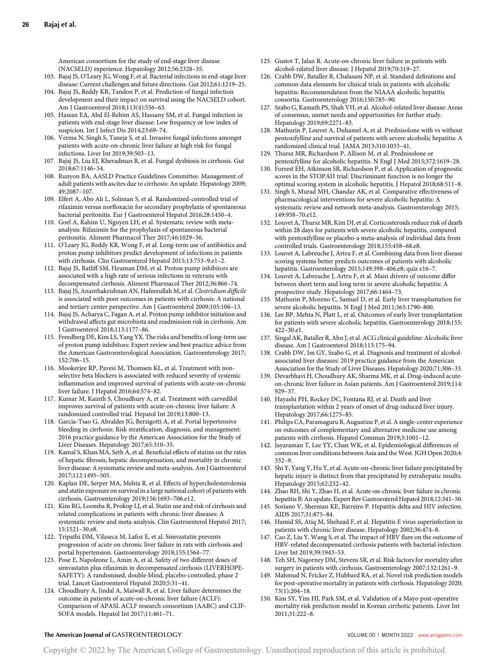American consortium for the study of end-stage liver disease (NACSELD) experience. Hepatology 2012;56:2328–35.

- 103. Bajaj JS, O'Leary JG, Wong F, et al. Bacterial infections in end-stage liver disease: Current challenges and future directions. Gut 2012;61:1219–25.
- 104. Bajaj JS, Reddy KR, Tandon P, et al. Prediction of fungal infection development and their impact on survival using the NACSELD cohort. Am J Gastroenterol 2018;113(4):556–63.
- 105. Hassan EA, Abd El-Rehim AS, Hassany SM, et al. Fungal infection in patients with end-stage liver disease: Low frequency or low index of suspicion. Int J Infect Dis 2014;23:69–74.
- 106. Verma N, Singh S, Taneja S, et al. Invasive fungal infections amongst patients with acute-on-chronic liver failure at high risk for fungal infections. Liver Int 2019;39:503–13.
- 107. Bajaj JS, Liu EJ, Kheradman R, et al. Fungal dysbiosis in cirrhosis. Gut 2018;67:1146–54.
- 108. Runyon BA, AASLD Practice Guidelines Committee. Management of adult patients with ascites due to cirrhosis: An update. Hepatology 2009; 49:2087–107.
- 109. Elfert A, Abo Ali L, Soliman S, et al. Randomized-controlled trial of rifaximin versus norfloxacin for secondary prophylaxis of spontaneous bacterial peritonitis. Eur J Gastroenterol Hepatol 2016;28:1450–4.
- 110. Goel A, Rahim U, Nguyen LH, et al. Systematic review with metaanalysis: Rifaximin for the prophylaxis of spontaneous bacterial peritonitis. Aliment Pharmacol Ther 2017;46:1029–36.
- 111. O'Leary JG, Reddy KR, Wong F, et al. Long-term use of antibiotics and proton pump inhibitors predict development of infections in patients with cirrhosis. Clin Gastroenterol Hepatol 2015;13:753–9.e1–2.
- 112. Bajaj JS, Ratliff SM, Heuman DM, et al. Proton pump inhibitors are associated with a high rate of serious infections in veterans with decompensated cirrhosis. Aliment Pharmacol Ther 2012;36:866–74.
- 113. Bajaj JS, Ananthakrishnan AN, Hafeezullah M, et al. Clostridium difficile is associated with poor outcomes in patients with cirrhosis: A national and tertiary center perspective. Am J Gastroenterol 2009;105:106–13.
- 114. Bajaj JS, Acharya C, Fagan A, et al. Proton pump inhibitor initiation and withdrawal affects gut microbiota and readmission risk in cirrhosis. Am J Gastroenterol 2018;113:1177–86.
- 115. Freedberg DE, Kim LS, Yang YX. The risks and benefits of long-term use of proton pump inhibitors: Expert review and best practice advice from the American Gastroenterological Association. Gastroenterology 2017; 152:706–15.
- 116. Mookerjee RP, Pavesi M, Thomsen KL, et al. Treatment with nonselective beta blockers is associated with reduced severity of systemic inflammation and improved survival of patients with acute-on-chronic liver failure. J Hepatol 2016;64:574–82.
- 117. Kumar M, Kainth S, Choudhury A, et al. Treatment with carvedilol improves survival of patients with acute-on-chronic liver failure: A randomized controlled trial. Hepatol Int 2019;13:800–13.
- 118. Garcia-Tsao G, Abraldes JG, Berzigotti A, et al. Portal hypertensive bleeding in cirrhosis: Risk stratification, diagnosis, and management: 2016 practice guidance by the American Association for the Study of Liver Diseases. Hepatology 2017;65:310–35.
- 119. Kamal S, Khan MA, Seth A, et al. Beneficial effects of statins on the rates of hepatic fibrosis, hepatic decompensation, and mortality in chronic liver disease: A systematic review and meta-analysis. Am J Gastroenterol 2017;112:1495–505.
- 120. Kaplan DE, Serper MA, Mehta R, et al. Effects of hypercholesterolemia and statin exposure on survival in a large national cohort of patients with cirrhosis. Gastroenterology 2019;156:1693–706.e12.
- 121. Kim RG, Loomba R, Prokop LJ, et al. Statin use and risk of cirrhosis and related complications in patients with chronic liver diseases: A systematic review and meta-analysis. Clin Gastroenterol Hepatol 2017; 15:1521–30.e8.
- 122. Tripathi DM, Vilaseca M, Lafoz E, et al. Simvastatin prevents progression of acute on chronic liver failure in rats with cirrhosis and portal hypertension. Gastroenterology 2018;155:1564–77.
- 123. Pose E, Napoleone L, Amin A, et al. Safety of two different doses of simvastatin plus rifaximin in decompensated cirrhosis (LIVERHOPE-SAFETY): A randomised, double-blind, placebo-controlled, phase 2 trial. Lancet Gastroenterol Hepatol 2020;5:31–41.
- 124. Choudhury A, Jindal A, Maiwall R, et al. Liver failure determines the outcome in patients of acute-on-chronic liver failure (ACLF): Comparison of APASL ACLF research consortium (AARC) and CLIF-SOFA models. Hepatol Int 2017;11:461–71.
- 125. Gustot T, Jalan R. Acute-on-chronic liver failure in patients with alcohol-related liver disease. J Hepatol 2019;70:319–27.
- 126. Crabb DW, Bataller R, Chalasani NP, et al. Standard definitions and common data elements for clinical trials in patients with alcoholic hepatitis: Recommendation from the NIAAA alcoholic hepatitis consortia. Gastroenterology 2016;150:785–90.
- 127. Szabo G, Kamath PS, Shah VH, et al. Alcohol-related liver disease: Areas of consensus, unmet needs and opportunities for further study. Hepatology 2019;69:2271–83.
- 128. Mathurin P, Louvet A, Duhamel A, et al. Prednisolone with vs without pentoxifylline and survival of patients with severe alcoholic hepatitis: A randomized clinical trial. JAMA 2013;310:1033–41.
- 129. Thursz MR, Richardson P, Allison M, et al. Prednisolone or pentoxifylline for alcoholic hepatitis. N Engl J Med 2015;372:1619–28.
- 130. Forrest EH, Atkinson SR, Richardson P, et al. Application of prognostic scores in the STOPAH trial: Discriminant function is no longer the optimal scoring system in alcoholic hepatitis. J Hepatol 2018;68:511–8.
- 131. Singh S, Murad MH, Chandar AK, et al. Comparative effectiveness of pharmacological interventions for severe alcoholic hepatitis: A systematic review and network meta-analysis. Gastroenterology 2015; 149:958–70.e12.
- 132. Louvet A, Thursz MR, Kim DJ, et al. Corticosteroids reduce risk of death within 28 days for patients with severe alcoholic hepatitis, compared with pentoxifylline or placebo-a meta-analysis of individual data from controlled trials. Gastroenterology 2018;155:458–68.e8.
- 133. Louvet A, Labreuche J, Artru F, et al. Combining data from liver disease scoring systems better predicts outcomes of patients with alcoholic hepatitis. Gastroenterology 2015;149:398–406.e8; quiz e16–7.
- 134. Louvet A, Labreuche J, Artru F, et al. Main drivers of outcome differ between short term and long term in severe alcoholic hepatitis: A prospective study. Hepatology 2017;66:1464–73.
- 135. Mathurin P, Moreno C, Samuel D, et al. Early liver transplantation for severe alcoholic hepatitis. N Engl J Med 2011;365:1790–800.
- 136. Lee BP, Mehta N, Platt L, et al. Outcomes of early liver transplantation for patients with severe alcoholic hepatitis. Gastroenterology 2018;155: 422–30.e1.
- 137. Singal AK, Bataller R, Ahn J, et al. ACG clinical guideline: Alcoholic liver disease. Am J Gastroenterol 2018;113:175–94.
- 138. Crabb DW, Im GY, Szabo G, et al. Diagnosis and treatment of alcoholassociated liver diseases: 2019 practice guidance from the American Association for the Study of Liver Diseases. Hepatology 2020;71:306–33.
- 139. Devarbhavi H, Choudhury AK, Sharma MK, et al. Drug-induced acuteon-chronic liver failure in Asian patients. Am J Gastroenterol 2019;114: 929–37.
- 140. Hayashi PH, Rockey DC, Fontana RJ, et al. Death and liver transplantation within 2 years of onset of drug-induced liver injury. Hepatology 2017;66:1275–85.
- 141. Philips CA, Paramaguru R, Augustine P, et al. A single-center experience on outcomes of complementary and alternative medicine use among patients with cirrhosis. Hepatol Commun 2019;3:1001–12.
- 142. Jayaraman T, Lee YY, Chan WK, et al. Epidemiological differences of common liver conditions between Asia and the West. JGH Open 2020;4: 332–9.
- 143. Shi Y, Yang Y, Hu Y, et al. Acute-on-chronic liver failure precipitated by hepatic injury is distinct from that precipitated by extrahepatic insults. Hepatology 2015;62:232–42.
- 144. Zhao RH, Shi Y, Zhao H, et al. Acute-on-chronic liver failure in chronic hepatitis B: An update. Expert Rev Gastroenterol Hepatol 2018;12:341–50.
- 145. Soriano V, Sherman KE, Barreiro P. Hepatitis delta and HIV infection. AIDS 2017;31:875–84.
- 146. Hamid SS, Atiq M, Shehzad F, et al. Hepatitis E virus superinfection in patients with chronic liver disease. Hepatology 2002;36:474–8.
- 147. Cao Z, Liu Y, Wang S, et al. The impact of HBV flare on the outcome of HBV-related decompensated cirrhosis patients with bacterial infection. Liver Int 2019;39:1943–53.
- 148. Teh SH, Nagorney DM, Stevens SR, et al. Risk factors for mortality after surgery in patients with cirrhosis. Gastroenterology 2007;132:1261–9.
- 149. Mahmud N, Fricker Z, Hubbard RA, et al. Novel risk prediction models for post-operative mortality in patients with cirrhosis. Hepatology 2020; 73(1):204–18.
- 150. Kim SY, Yim HJ, Park SM, et al. Validation of a Mayo post-operative mortality risk prediction model in Korean cirrhotic patients. Liver Int 2011;31:222–8.

# The American Journal of GASTROENTEROLOGY **Annual American Journal of GASTROENTEROLOGY VOLUME 00 | MONTH 2022** [www.amjgastro.com](http://www.amjgastro.com)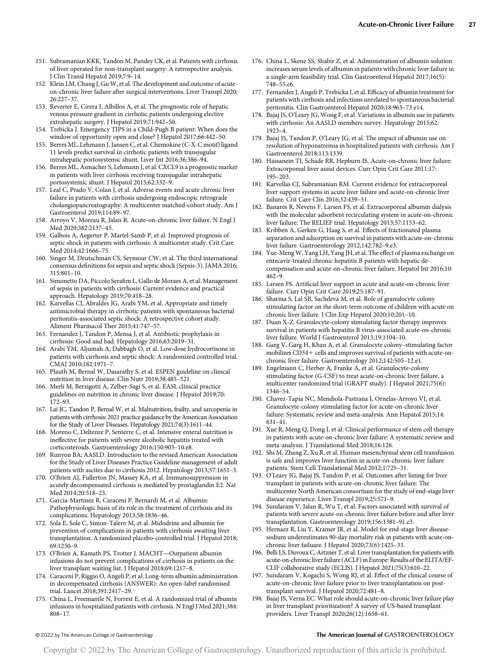- 151. Subramanian KKK, Tandon M, Pandey CK, et al. Patients with cirrhosis of liver operated for non-transplant surgery: A retrospective analysis. J Clin Transl Hepatol 2019;7:9–14.
- 152. Klein LM, Chang J, Gu W, et al. The development and outcome of acuteon-chronic liver failure after surgical interventions. Liver Transpl 2020; 26:227–37.
- 153. Reverter E, Cirera I, Albillos A, et al. The prognostic role of hepatic venous pressure gradient in cirrhotic patients undergoing elective extrahepatic surgery. J Hepatol 2019;71:942–50.
- 154. Trebicka J. Emergency TIPS in a Child-Pugh B patient: When does the window of opportunity open and close? J Hepatol 2017;66:442–50.
- 155. Berres ML, Lehmann J, Jansen C, et al. Chemokine (C-X-C motif) ligand 11 levels predict survival in cirrhotic patients with transjugular intrahepatic portosystemic shunt. Liver Int 2016;36:386–94.
- 156. Berres ML, Asmacher S, Lehmann J, et al. CXCL9 is a prognostic marker in patients with liver cirrhosis receiving transjugular intrahepatic portosystemic shunt. J Hepatol 2015;62:332–9.
- 157. Leal C, Prado V, Colan J, et al. Adverse events and acute chronic liver failure in patients with cirrhosis undergoing endoscopic retrograde cholangiopancreatography: A multicenter matched-cohort study. Am J Gastroenterol 2019;114:89–97.
- 158. Arroyo V, Moreau R, Jalan R. Acute-on-chronic liver failure. N Engl J Med 2020;382:2137–45.
- 159. Galbois A, Aegerter P, Martel-Samb P, et al. Improved prognosis of septic shock in patients with cirrhosis: A multicenter study. Crit Care Med 2014;42:1666–75.
- 160. Singer M, Deutschman CS, Seymour CW, et al. The third international consensus definitions for sepsis and septic shock (Sepsis-3). JAMA 2016; 315:801–10.
- 161. Simonetto DA, Piccolo Serafim L, Gallo de Moraes A, et al. Management of sepsis in patients with cirrhosis: Current evidence and practical approach. Hepatology 2019;70:418–28.
- 162. Karvellas CJ, Abraldes JG, Arabi YM, et al. Appropriate and timely antimicrobial therapy in cirrhotic patients with spontaneous bacterial peritonitis-associated septic shock: A retrospective cohort study. Aliment Pharmacol Ther 2015;41:747–57.
- 163. Fernandez J, Tandon P, Mensa J, et al. Antibiotic prophylaxis in cirrhosis: Good and bad. Hepatology 2016;63:2019–31.
- 164. Arabi YM, Aljumah A, Dabbagh O, et al. Low-dose hydrocortisone in patients with cirrhosis and septic shock: A randomized controlled trial. CMAJ 2010;182:1971–7.
- 165. Plauth M, Bernal W, Dasarathy S, et al. ESPEN guideline on clinical nutrition in liver disease. Clin Nutr 2019;38:485–521.
- 166. Merli M, Berzigotti A, Zelber-Sagi S, et al. EASL clinical practice guidelines on nutrition in chronic liver disease. J Hepatol 2019;70: 172–93.
- 167. Lai JC, Tandon P, Bernal W, et al. Malnutrition, frailty, and sarcopenia in patients with cirrhosis: 2021 practice guidance by the American Association for the Study of Liver Diseases. Hepatology 2021;74(3):1611–44.
- 168. Moreno C, Deltenre P, Senterre C, et al. Intensive enteral nutrition is ineffective for patients with severe alcoholic hepatitis treated with corticosteroids. Gastroenterology 2016;150:903–10.e8.
- 169. Runyon BA; AASLD. Introduction to the revised American Association for the Study of Liver Diseases Practice Guideline management of adult patients with ascites due to cirrhosis 2012. Hepatology 2013;57:1651–3.
- 170. O'Brien AJ, Fullerton JN, Massey KA, et al. Immunosuppression in acutely decompensated cirrhosis is mediated by prostaglandin E2. Nat Med 2014;20:518–23.
- 171. Garcia-Martinez R, Caraceni P, Bernardi M, et al. Albumin: Pathophysiologic basis of its role in the treatment of cirrhosis and its complications. Hepatology 2013;58:1836–46.
- 172. Sola E, Sole C, Simon-Talero M, et al. Midodrine and albumin for prevention of complications in patients with cirrhosis awaiting liver transplantation. A randomized placebo-controlled trial. J Hepatol 2018; 69:1250–9.
- 173. O'Brien A, Kamath PS, Trotter J. MACHT—Outpatient albumin infusions do not prevent complications of cirrhosis in patients on the liver transplant waiting list. J Hepatol 2018;69:1217–8.
- 174. Caraceni P, Riggio O, Angeli P, et al. Long-term albumin administration in decompensated cirrhosis (ANSWER): An open-label randomised trial. Lancet 2018;391:2417–29.
- 175. China L, Freemantle N, Forrest E, et al. A randomized trial of albumin infusions in hospitalized patients with cirrhosis. N Engl J Med 2021;384: 808–17.
- 176. China L, Skene SS, Shabir Z, et al. Administration of albumin solution increases serum levels of albumin in patients with chronic liver failure in a single-arm feasibility trial. Clin Gastroenterol Hepatol 2017;16(5): 748–55.e6.
- 177. Fernandez J, Angeli P, Trebicka J, et al. Efficacy of albumin treatment for patients with cirrhosis and infections unrelated to spontaneous bacterial peritonitis. Clin Gastroenterol Hepatol 2020;18:963–73.e14.
- 178. Bajaj JS, O'Leary JG, Wong F, et al. Variations in albumin use in patients with cirrhosis: An AASLD members survey. Hepatology 2015;62: 1923–4.
- 179. Bajaj JS, Tandon P, O'Leary JG, et al. The impact of albumin use on resolution of hyponatremia in hospitalized patients with cirrhosis. Am J Gastroenterol 2018;113:1339.
- 180. Hassanein TI, Schade RR, Hepburn IS. Acute-on-chronic liver failure: Extracorporeal liver assist devices. Curr Opin Crit Care 2011;17: 195–203.
- 181. Karvellas CJ, Subramanian RM. Current evidence for extracorporeal liver support systems in acute liver failure and acute-on-chronic liver failure. Crit Care Clin 2016;32:439–51.
- 182. Banares R, Nevens F, Larsen FS, et al. Extracorporeal albumin dialysis with the molecular adsorbent recirculating system in acute-on-chronic liver failure: The RELIEF trial. Hepatology 2013;57:1153–62.
- 183. Kribben A, Gerken G, Haag S, et al. Effects of fractionated plasma separation and adsorption on survival in patients with acute-on-chronic liver failure. Gastroenterology 2012;142:782–9.e3.
- 184. Yue-MengW, Yang LH, Yang JH, et al. The effect of plasma exchange on entecavir-treated chronic hepatitis B patients with hepatic decompensation and acute-on-chronic liver failure. Hepatol Int 2016;10: 462–9.
- 185. Larsen FS. Artificial liver support in acute and acute-on-chronic liver failure. Curr Opin Crit Care 2019;25:187–91.
- 186. Sharma S, Lal SB, Sachdeva M, et al. Role of granulocyte colony stimulating factor on the short-term outcome of children with acute on chronic liver failure. J Clin Exp Hepatol 2020;10:201–10.
- 187. Duan X-Z. Granulocyte-colony stimulating factor therapy improves survival in patients with hepatitis B virus-associated acute-on-chronic liver failure. World J Gastroenterol 2013;19:1104–10.
- 188. Garg V, Garg H, Khan A, et al. Granulocyte colony–stimulating factor mobilizes CD34+ cells and improves survival of patients with acute-onchronic liver failure. Gastroenterology 2012;142:505–12.e1.
- 189. Engelmann C, Herber A, Franke A, et al. Granulocyte-colony stimulating factor (G-CSF) to treat acute-on-chronic liver failure, a multicenter randomized trial (GRAFT study). J Hepatol 2021;75(6): 1346–54.
- 190. Chavez-Tapia NC, Mendiola-Pastrana I, Ornelas-Arroyo VJ, et al. Granulocyte-colony stimulating factor for acute-on-chronic liver failure: Systematic review and meta-analysis. Ann Hepatol 2015;14: 631–41.
- 191. Xue R, Meng Q, Dong J, et al. Clinical performance of stem cell therapy in patients with acute-on-chronic liver failure: A systematic review and meta-analysis. J Translational Med 2018;16:126.
- 192. Shi M, Zhang Z, Xu R, et al. Human mesenchymal stem cell transfusion is safe and improves liver function in acute-on-chronic liver failure patients. Stem Cell Translational Med 2012;1:725–31.
- 193. O'Leary JG, Bajaj JS, Tandon P, et al. Outcomes after listing for liver transplant in patients with acute-on-chronic liver failure: The multicenter North American consortium for the study of end-stage liver disease experience. Liver Transpl 2019;25:571–9.
- 194. Sundaram V, Jalan R, Wu T, et al. Factors associated with survival of patients with severe acute-on-chronic liver failure before and after liver transplantation. Gastroenterology 2019;156:1381–91.e3.
- 195. Hernaez R, Liu Y, Kramer JR, et al. Model for end-stage liver diseasesodium underestimates 90-day mortality risk in patients with acute-onchronic liver failuare. J Hepatol 2020;73(6):1425–33.
- 196. Belli LS, Duvoux C, Artzner T, et al. Liver transplantation for patients with acute-on-chronic liver failure (ACLF) in Europe: Results of the ELITA/EF-CLIF collaborative study (ECLIS). J Hepatol 2021;75(3):610–22.
- 197. Sundaram V, Kogachi S, Wong RJ, et al. Effect of the clinical course of acute-on-chronic liver failure prior to liver transplantation on posttransplant survival. J Hepatol 2020;72:481–8.
- 198. Bajaj JS, Verna EC. What role should acute-on-chronic liver failure play in liver transplant prioritization? A survey of US-based transplant providers. Liver Transpl 2020;26(12):1658–61.

#### © 2022 by The American College of Gastroenterology The American Journal of GASTROENTEROLOGY